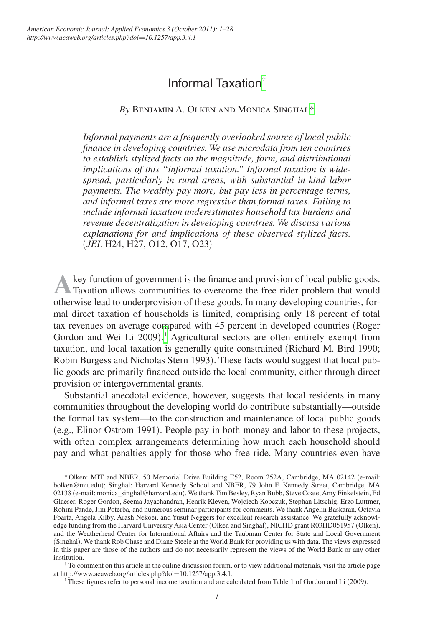# Informal Taxation[†](#page-0-1)

## *By* Benjamin A. Olken and Monica Singhal[\\*](#page-0-2)

*Informal payments are a frequently overlooked source of local public finance in developing countries. We use microdata from ten countries to establish stylized facts on the magnitude, form, and distributional implications of this "informal taxation." Informal taxation is widespread, particularly in rural areas, with substantial in-kind labor payments. The wealthy pay more, but pay less in percentage terms, and informal taxes are more regressive than formal taxes. Failing to include informal taxation underestimates household tax burdens and revenue decentralization in developing countries. We discuss various explanations for and implications of these observed stylized facts.* (*JEL* H24, H27, O12, O17, O23)

A **Rey function of government is the finance and provision of local public goods.**<br>Taxation allows communities to overcome the free rider problem that would otherwise lead to underprovision of these goods. In many developing countries, formal direct taxation of households is limited, comprising only 18 percent of total tax revenues on average compared with 45 percent in developed countries (Roger Gordon and Wei Li 2009).<sup>[1](#page-0-0)</sup> Agricultural sectors are often entirely exempt from taxation, and local taxation is generally quite constrained (Richard M. Bird 1990; Robin Burgess and Nicholas Stern 1993). These facts would suggest that local public goods are primarily financed outside the local community, either through direct provision or intergovernmental grants.

Substantial anecdotal evidence, however, suggests that local residents in many communities throughout the developing world do contribute substantially—outside the formal tax system—to the construction and maintenance of local public goods (e.g., Elinor Ostrom 1991). People pay in both money and labor to these projects, with often complex arrangements determining how much each household should pay and what penalties apply for those who free ride. Many countries even have

<span id="page-0-2"></span>\*Olken: MIT and NBER, 50 Memorial Drive Building E52, Room 252A, Cambridge, MA 02142 (e-mail: bolken@mit.edu); Singhal: Harvard Kennedy School and NBER, 79 John F. Kennedy Street, Cambridge, MA 02138 (e-mail: monica\_singhal@harvard.edu). We thank Tim Besley, Ryan Bubb, Steve Coate, Amy Finkelstein, Ed Glaeser, Roger Gordon, Seema Jayachandran, Henrik Kleven, Wojciech Kopczuk, Stephan Litschig, Erzo Luttmer, Rohini Pande, Jim Poterba, and numerous seminar participants for comments. We thank Angelin Baskaran, Octavia Foarta, Angela Kilby, Arash Nekoei, and Yusuf Neggers for excellent research assistance. We gratefully acknowledge funding from the Harvard University Asia Center (Olken and Singhal), NICHD grant R03HD051957 (Olken), and the Weatherhead Center for International Affairs and the Taubman Center for State and Local Government (Singhal). We thank Rob Chase and Diane Steele at the World Bank for providing us with data. The views expressed in this paper are those of the authors and do not necessarily represent the views of the World Bank or any other institution. † To comment on this article in the online discussion forum, or to view additional materials, visit the article page

at [http://www.aeaweb.org/articles.php?doi](http://www.aeaweb.org/articles.php?doi=10.1257/app.3.4.1)=10.1257/app.3.4.1.

<span id="page-0-1"></span><span id="page-0-0"></span><sup>1</sup>These figures refer to personal income taxation and are calculated from Table 1 of Gordon and Li (2009).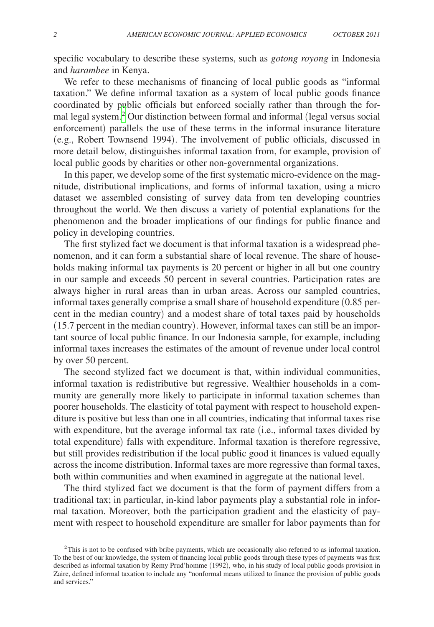specific vocabulary to describe these systems, such as *gotong royong* in Indonesia and *harambee* in Kenya.

We refer to these mechanisms of financing of local public goods as "informal taxation." We define informal taxation as a system of local public goods finance coordinated by public officials but enforced socially rather than through the formal legal system.[2](#page-1-0) Our distinction between formal and informal (legal versus social enforcement) parallels the use of these terms in the informal insurance literature (e.g., Robert Townsend 1994). The involvement of public officials, discussed in more detail below, distinguishes informal taxation from, for example, provision of local public goods by charities or other non-governmental organizations.

In this paper, we develop some of the first systematic micro-evidence on the magnitude, distributional implications, and forms of informal taxation, using a micro dataset we assembled consisting of survey data from ten developing countries throughout the world. We then discuss a variety of potential explanations for the phenomenon and the broader implications of our findings for public finance and policy in developing countries.

The first stylized fact we document is that informal taxation is a widespread phenomenon, and it can form a substantial share of local revenue. The share of households making informal tax payments is 20 percent or higher in all but one country in our sample and exceeds 50 percent in several countries. Participation rates are always higher in rural areas than in urban areas. Across our sampled countries, informal taxes generally comprise a small share of household expenditure (0.85 percent in the median country) and a modest share of total taxes paid by households (15.7 percent in the median country). However, informal taxes can still be an important source of local public finance. In our Indonesia sample, for example, including informal taxes increases the estimates of the amount of revenue under local control by over 50 percent.

The second stylized fact we document is that, within individual communities, informal taxation is redistributive but regressive. Wealthier households in a community are generally more likely to participate in informal taxation schemes than poorer households. The elasticity of total payment with respect to household expenditure is positive but less than one in all countries, indicating that informal taxes rise with expenditure, but the average informal tax rate (i.e., informal taxes divided by total expenditure) falls with expenditure. Informal taxation is therefore regressive, but still provides redistribution if the local public good it finances is valued equally across the income distribution. Informal taxes are more regressive than formal taxes, both within communities and when examined in aggregate at the national level.

The third stylized fact we document is that the form of payment differs from a traditional tax; in particular, in-kind labor payments play a substantial role in informal taxation. Moreover, both the participation gradient and the elasticity of payment with respect to household expenditure are smaller for labor payments than for

<span id="page-1-0"></span><sup>&</sup>lt;sup>2</sup>This is not to be confused with bribe payments, which are occasionally also referred to as informal taxation. To the best of our knowledge, the system of financing local public goods through these types of payments was first described as informal taxation by Remy Prud'homme (1992), who, in his study of local public goods provision in Zaire, defined informal taxation to include any "nonformal means utilized to finance the provision of public goods and services."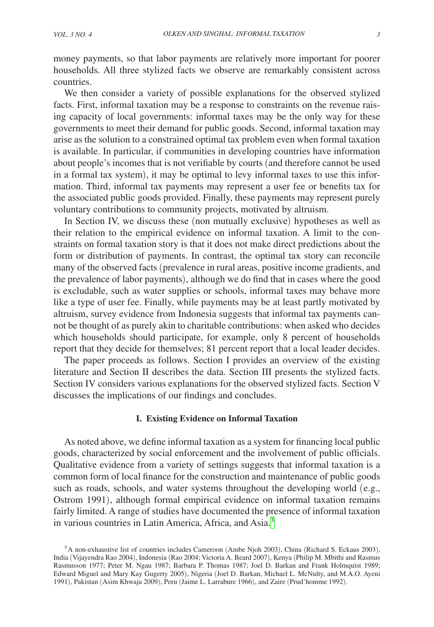<span id="page-2-0"></span>money payments, so that labor payments are relatively more important for poorer households. All three stylized facts we observe are remarkably consistent across countries.

We then consider a variety of possible explanations for the observed stylized facts. First, informal taxation may be a response to constraints on the revenue raising capacity of local governments: informal taxes may be the only way for these governments to meet their demand for public goods. Second, informal taxation may arise as the solution to a constrained optimal tax problem even when formal taxation is available. In particular, if communities in developing countries have information about people's incomes that is not verifiable by courts (and therefore cannot be used in a formal tax system), it may be optimal to levy informal taxes to use this information. Third, informal tax payments may represent a user fee or benefits tax for the associated public goods provided. Finally, these payments may represent purely voluntary contributions to community projects, motivated by altruism.

In Section IV, we discuss these (non mutually exclusive) hypotheses as well as their relation to the empirical evidence on informal taxation. A limit to the constraints on formal taxation story is that it does not make direct predictions about the form or distribution of payments. In contrast, the optimal tax story can reconcile many of the observed facts (prevalence in rural areas, positive income gradients, and the prevalence of labor payments), although we do find that in cases where the good is excludable, such as water supplies or schools, informal taxes may behave more like a type of user fee. Finally, while payments may be at least partly motivated by altruism, survey evidence from Indonesia suggests that informal tax payments cannot be thought of as purely akin to charitable contributions: when asked who decides which households should participate, for example, only 8 percent of households report that they decide for themselves; 81 percent report that a local leader decides.

The paper proceeds as follows. Section I provides an overview of the existing literature and Section II describes the data. Section III presents the stylized facts. Section IV considers various explanations for the observed stylized facts. Section V discusses the implications of our findings and concludes.

### **I. Existing Evidence on Informal Taxation**

As noted above, we define informal taxation as a system for financing local public goods, characterized by social enforcement and the involvement of public officials. Qualitative evidence from a variety of settings suggests that informal taxation is a common form of local finance for the construction and maintenance of public goods such as roads, schools, and water systems throughout the developing world (e.g., Ostrom 1991), although formal empirical evidence on informal taxation remains fairly limited. A range of studies have documented the presence of informal taxation in various countries in Latin America, Africa, and Asia.<sup>3</sup>

<span id="page-2-1"></span><sup>&</sup>lt;sup>3</sup>A non-exhaustive list of countries includes Cameroon (Ambe Njoh 2003), China (Richard S. Eckaus 2003), India (Vijayendra Rao 2004), Indonesia (Rao 2004; Victoria A. Beard 2007), Kenya (Philip M. Mbithi and Rasmus Rasmusson 1977; Peter M. Ngau 1987; Barbara P. Thomas 1987; Joel D. Barkan and Frank Holmquist 1989; Edward Miguel and Mary Kay Gugerty 2005), Nigeria (Joel D. Barkan, Michael L. McNulty, and M.A.O. Ayeni 1991), Pakistan (Asim Khwaja 2009), Peru (Jaime L. Larrabure 1966), and Zaire (Prud'homme 1992).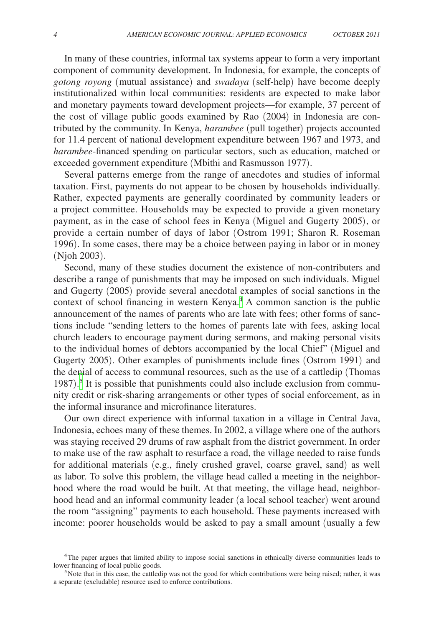In many of these countries, informal tax systems appear to form a very important component of community development. In Indonesia, for example, the concepts of *gotong royong* (mutual assistance) and *swadaya* (self-help) have become deeply institutionalized within local communities: residents are expected to make labor and monetary payments toward development projects—for example, 37 percent of the cost of village public goods examined by Rao (2004) in Indonesia are contributed by the community. In Kenya, *harambee* (pull together) projects accounted for 11.4 percent of national development expenditure between 1967 and 1973, and *harambee*-financed spending on particular sectors, such as education, matched or exceeded government expenditure (Mbithi and Rasmusson 1977).

Several patterns emerge from the range of anecdotes and studies of informal taxation. First, payments do not appear to be chosen by households individually. Rather, expected payments are generally coordinated by community leaders or a project committee. Households may be expected to provide a given monetary payment, as in the case of school fees in Kenya (Miguel and Gugerty 2005), or provide a certain number of days of labor (Ostrom 1991; Sharon R. Roseman 1996). In some cases, there may be a choice between paying in labor or in money (Njoh 2003).

Second, many of these studies document the existence of non-contributers and describe a range of punishments that may be imposed on such individuals. Miguel and Gugerty (2005) provide several anecdotal examples of social sanctions in the context of school financing in western Kenya.<sup>4</sup> A common sanction is the public announcement of the names of parents who are late with fees; other forms of sanctions include "sending letters to the homes of parents late with fees, asking local church leaders to encourage payment during sermons, and making personal visits to the individual homes of debtors accompanied by the local Chief" (Miguel and Gugerty 2005). Other examples of punishments include fines (Ostrom 1991) and the denial of access to communal resources, such as the use of a cattledip (Thomas 1987). [5](#page-3-1) It is possible that punishments could also include exclusion from community credit or risk-sharing arrangements or other types of social enforcement, as in the informal insurance and microfinance literatures.

Our own direct experience with informal taxation in a village in Central Java, Indonesia, echoes many of these themes. In 2002, a village where one of the authors was staying received 29 drums of raw asphalt from the district government. In order to make use of the raw asphalt to resurface a road, the village needed to raise funds for additional materials (e.g., finely crushed gravel, coarse gravel, sand) as well as labor. To solve this problem, the village head called a meeting in the neighborhood where the road would be built. At that meeting, the village head, neighborhood head and an informal community leader (a local school teacher) went around the room "assigning" payments to each household. These payments increased with income: poorer households would be asked to pay a small amount (usually a few

<span id="page-3-0"></span><sup>4</sup>The paper argues that limited ability to impose social sanctions in ethnically diverse communities leads to lower financing of local public goods.<br><sup>5</sup>Note that in this case, the cattledip was not the good for which contributions were being raised; rather, it was

<span id="page-3-1"></span>a separate (excludable) resource used to enforce contributions.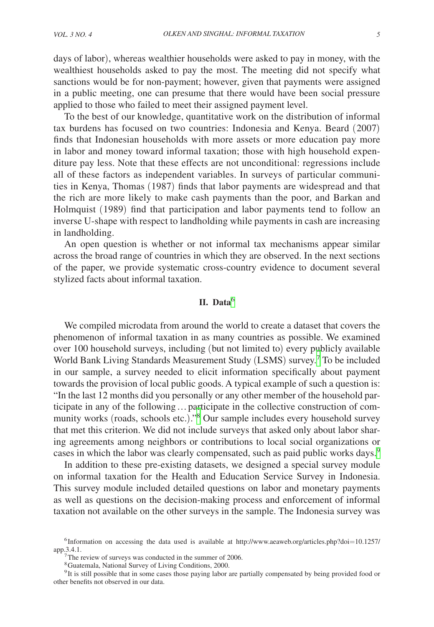<span id="page-4-0"></span>days of labor), whereas wealthier households were asked to pay in money, with the wealthiest households asked to pay the most. The meeting did not specify what sanctions would be for non-payment; however, given that payments were assigned in a public meeting, one can presume that there would have been social pressure applied to those who failed to meet their assigned payment level.

To the best of our knowledge, quantitative work on the distribution of informal tax burdens has focused on two countries: Indonesia and Kenya. Beard (2007) finds that Indonesian households with more assets or more education pay more in labor and money toward informal taxation; those with high household expenditure pay less. Note that these effects are not unconditional: regressions include all of these factors as independent variables. In surveys of particular communities in Kenya, Thomas (1987) finds that labor payments are widespread and that the rich are more likely to make cash payments than the poor, and Barkan and Holmquist (1989) find that participation and labor payments tend to follow an inverse U-shape with respect to landholding while payments in cash are increasing in landholding.

An open question is whether or not informal tax mechanisms appear similar across the broad range of countries in which they are observed. In the next sections of the paper, we provide systematic cross-country evidence to document several stylized facts about informal taxation.

## **II. Data**[6](#page-4-1)

We compiled microdata from around the world to create a dataset that covers the phenomenon of informal taxation in as many countries as possible. We examined over 100 household surveys, including (but not limited to) every publicly available World Bank Living Standards Measurement Study (LSMS) survey.[7](#page-4-2) To be included in our sample, a survey needed to elicit information specifically about payment towards the provision of local public goods. A typical example of such a question is: "In the last 12 months did you personally or any other member of the household participate in any of the following…participate in the collective construction of community works (roads, schools etc.)."<sup>8</sup> Our sample includes every household survey that met this criterion. We did not include surveys that asked only about labor sharing agreements among neighbors or contributions to local social organizations or cases in which the labor was clearly compensated, such as paid public works days.<sup>[9](#page-4-4)</sup>

In addition to these pre-existing datasets, we designed a special survey module on informal taxation for the Health and Education Service Survey in Indonesia. This survey module included detailed questions on labor and monetary payments as well as questions on the decision-making process and enforcement of informal taxation not available on the other surveys in the sample. The Indonesia survey was

<sup>&</sup>lt;sup>6</sup> Information on accessing the data used is available at [http://www.aeaweb.org/articles.php?doi](http://www.aeaweb.org/articles.php?doi=10.1257/app.3.4.1)=10.1257/ app.3.4.1.

<span id="page-4-2"></span><span id="page-4-1"></span> $7$ The review of surveys was conducted in the summer of 2006.

<span id="page-4-4"></span><span id="page-4-3"></span><sup>8</sup>Guatemala, National Survey of Living Conditions, 2000.

<sup>&</sup>lt;sup>9</sup> It is still possible that in some cases those paying labor are partially compensated by being provided food or other benefits not observed in our data.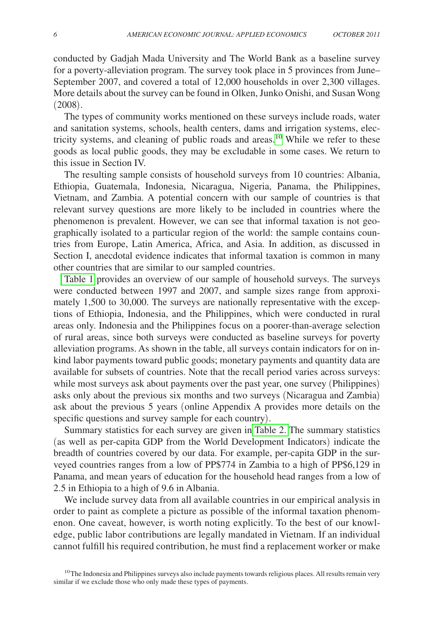conducted by Gadjah Mada University and The World Bank as a baseline survey for a poverty-alleviation program. The survey took place in 5 provinces from June– September 2007, and covered a total of 12,000 households in over 2,300 villages. More details about the survey can be found in Olken, Junko Onishi, and Susan Wong (2008).

The types of community works mentioned on these surveys include roads, water and sanitation systems, schools, health centers, dams and irrigation systems, elec-tricity systems, and cleaning of public roads and areas.<sup>[10](#page-5-0)</sup> While we refer to these goods as local public goods, they may be excludable in some cases. We return to this issue in Section IV.

The resulting sample consists of household surveys from 10 countries: Albania, Ethiopia, Guatemala, Indonesia, Nicaragua, Nigeria, Panama, the Philippines, Vietnam, and Zambia. A potential concern with our sample of countries is that relevant survey questions are more likely to be included in countries where the phenomenon is prevalent. However, we can see that informal taxation is not geographically isolated to a particular region of the world: the sample contains countries from Europe, Latin America, Africa, and Asia. In addition, as discussed in Section I, anecdotal evidence indicates that informal taxation is common in many other countries that are similar to our sampled countries.

[Table 1](#page-6-0) provides an overview of our sample of household surveys. The surveys were conducted between 1997 and 2007, and sample sizes range from approximately 1,500 to 30,000. The surveys are nationally representative with the exceptions of Ethiopia, Indonesia, and the Philippines, which were conducted in rural areas only. Indonesia and the Philippines focus on a poorer-than-average selection of rural areas, since both surveys were conducted as baseline surveys for poverty alleviation programs. As shown in the table, all surveys contain indicators for on inkind labor payments toward public goods; monetary payments and quantity data are available for subsets of countries. Note that the recall period varies across surveys: while most surveys ask about payments over the past year, one survey (Philippines) asks only about the previous six months and two surveys (Nicaragua and Zambia) ask about the previous 5 years (online Appendix A provides more details on the specific questions and survey sample for each country).

Summary statistics for each survey are given in [Table 2.](#page-6-0) The summary statistics (as well as per-capita GDP from the World Development Indicators) indicate the breadth of countries covered by our data. For example, per-capita GDP in the surveyed countries ranges from a low of PP\$774 in Zambia to a high of PP\$6,129 in Panama, and mean years of education for the household head ranges from a low of 2.5 in Ethiopia to a high of 9.6 in Albania.

We include survey data from all available countries in our empirical analysis in order to paint as complete a picture as possible of the informal taxation phenomenon. One caveat, however, is worth noting explicitly. To the best of our knowledge, public labor contributions are legally mandated in Vietnam. If an individual cannot fulfill his required contribution, he must find a replacement worker or make

<span id="page-5-0"></span> $10$ The Indonesia and Philippines surveys also include payments towards religious places. All results remain very similar if we exclude those who only made these types of payments.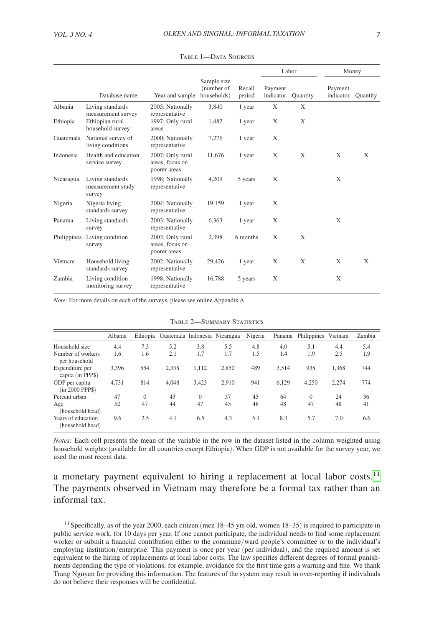<span id="page-6-0"></span>

|             |                                                 |                                                     |                                          |                  |                      | Labor           | Money                |          |
|-------------|-------------------------------------------------|-----------------------------------------------------|------------------------------------------|------------------|----------------------|-----------------|----------------------|----------|
|             | Database name                                   | Year and sample                                     | Sample size<br>(number of<br>households) | Recall<br>period | Payment<br>indicator | <b>Quantity</b> | Payment<br>indicator | Quantity |
| Albania     | Living standards<br>measurement survey          | 2005; Nationally<br>representative                  | 3,840                                    | 1 year           | X                    | X               |                      |          |
| Ethiopia    | Ethiopian rural<br>household survey             | 1997; Only rural<br>areas                           | 1,482                                    | 1 year           | X                    | X               |                      |          |
| Guatemala   | National survey of<br>living conditions         | 2000; Nationally<br>representative                  | 7,276                                    | 1 year           | X                    |                 |                      |          |
| Indonesia   | Health and education<br>service survey          | 2007; Only rural<br>areas, focus on<br>poorer areas | 11,676                                   | 1 year           | X                    | X               | X                    | X        |
| Nicaragua   | Living standards<br>measurement study<br>survey | 1998; Nationally<br>representative                  | 4,209                                    | 5 years          | X                    |                 | X                    |          |
| Nigeria     | Nigeria living<br>standards survey              | 2004; Nationally<br>representative                  | 19,159                                   | 1 year           | X                    |                 |                      |          |
| Panama      | Living standards<br>survey                      | 2003; Nationally<br>representative                  | 6,363                                    | 1 year           | X                    |                 | X                    |          |
| Philippines | Living condition<br>survey                      | 2003; Only rural<br>areas, focus on<br>poorer areas | 2,398                                    | 6 months         | X                    | X               |                      |          |
| Vietnam     | Household living<br>standards survey            | 2002; Nationally<br>representative                  | 29,426                                   | 1 year           | X                    | X               | X                    | X        |
| Zambia      | Living condition<br>monitoring survey           | 1998; Nationally<br>representative                  | 16,788                                   | 5 years          | X                    |                 | X                    |          |

Table 1—Data Sources

*Note:* For more details on each of the surveys, please see online Appendix A.

|                                        | Albania |          | Ethiopia Guatemala Indonesia Nicaragua |          |       | Nigeria | Panama | Philippines | Vietnam | Zambia |
|----------------------------------------|---------|----------|----------------------------------------|----------|-------|---------|--------|-------------|---------|--------|
| Household size                         | 4.4     | 7.3      | 5.2                                    | 3.8      | 5.5   | 4.8     | 4.0    | 5.1         | 4.4     | 5.4    |
| Number of workers<br>per household     | 1.6     | 1.6      | 2.1                                    | 1.7      | 1.7   | 1.5     | 1.4    | 1.9         | 2.5     | 1.9    |
| Expenditure per<br>capita (in PPP\$)   | 3,396   | 554      | 2,338                                  | 1.112    | 2,850 | 489     | 3.514  | 938         | 1,368   | 744    |
| GDP per capita<br>(in 2000 PPPS)       | 4.731   | 814      | 4.048                                  | 3.423    | 2.910 | 941     | 6.129  | 4,250       | 2.274   | 774    |
| Percent urban                          | 47      | $\Omega$ | 43                                     | $\theta$ | 57    | 45      | 64     | $\Omega$    | 24      | 36     |
| Age<br>(household head)                | 52      | 47       | 44                                     | 47       | 45    | 48      | 48     | 47          | 48      | 41     |
| Years of education<br>(household head) | 9.6     | 2.5      | 4.1                                    | 6.5      | 4.3   | 5.1     | 8.3    | 5.7         | 7.0     | 6.6    |

Table 2—Summary Statistics

*Notes:* Each cell presents the mean of the variable in the row in the dataset listed in the column weighted using household weights (available for all countries except Ethiopia). When GDP is not available for the survey year, we used the most recent data.

## a monetary payment equivalent to hiring a replacement at local labor costs.<sup>[11](#page-6-1)</sup> The payments observed in Vietnam may therefore be a formal tax rather than an informal tax.

<span id="page-6-1"></span><sup>11</sup> Specifically, as of the year 2000, each citizen (men  $18-45$  yrs old, women  $18-35$ ) is required to participate in public service work, for 10 days per year. If one cannot participate, the individual needs to find some replacement worker or submit a financial contribution either to the commune/ward people's committee or to the individual's employing institution/enterprise. This payment is once per year (per individual), and the required amount is set equivalent to the hiring of replacements at local labor costs. The law specifies different degrees of formal punishments depending the type of violations: for example, avoidance for the first time gets a warning and fine. We thank Trang Nguyen for providing this information. The features of the system may result in over-reporting if individuals do not believe their responses will be confidential.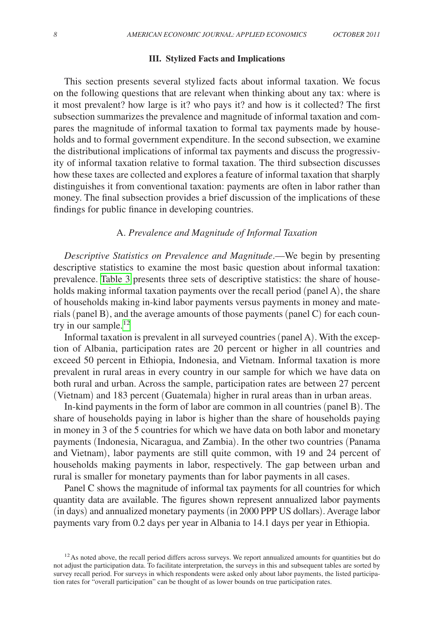#### **III. Stylized Facts and Implications**

<span id="page-7-0"></span>This section presents several stylized facts about informal taxation. We focus on the following questions that are relevant when thinking about any tax: where is it most prevalent? how large is it? who pays it? and how is it collected? The first subsection summarizes the prevalence and magnitude of informal taxation and compares the magnitude of informal taxation to formal tax payments made by households and to formal government expenditure. In the second subsection, we examine the distributional implications of informal tax payments and discuss the progressivity of informal taxation relative to formal taxation. The third subsection discusses how these taxes are collected and explores a feature of informal taxation that sharply distinguishes it from conventional taxation: payments are often in labor rather than money. The final subsection provides a brief discussion of the implications of these findings for public finance in developing countries.

## A. *Prevalence and Magnitude of Informal Taxation*

*Descriptive Statistics on Prevalence and Magnitude*.—We begin by presenting descriptive statistics to examine the most basic question about informal taxation: prevalence. [Table 3](#page-8-0) presents three sets of descriptive statistics: the share of households making informal taxation payments over the recall period (panel A), the share of households making in-kind labor payments versus payments in money and materials (panel B), and the average amounts of those payments (panel C) for each coun-try in our sample.<sup>[12](#page-7-1)</sup>

Informal taxation is prevalent in all surveyed countries (panel A). With the exception of Albania, participation rates are 20 percent or higher in all countries and exceed 50 percent in Ethiopia, Indonesia, and Vietnam. Informal taxation is more prevalent in rural areas in every country in our sample for which we have data on both rural and urban. Across the sample, participation rates are between 27 percent (Vietnam) and 183 percent (Guatemala) higher in rural areas than in urban areas.

In-kind payments in the form of labor are common in all countries (panel B). The share of households paying in labor is higher than the share of households paying in money in 3 of the 5 countries for which we have data on both labor and monetary payments (Indonesia, Nicaragua, and Zambia). In the other two countries (Panama and Vietnam), labor payments are still quite common, with 19 and 24 percent of households making payments in labor, respectively. The gap between urban and rural is smaller for monetary payments than for labor payments in all cases.

Panel C shows the magnitude of informal tax payments for all countries for which quantity data are available. The figures shown represent annualized labor payments (in days) and annualized monetary payments (in 2000 PPP US dollars). Average labor payments vary from 0.2 days per year in Albania to 14.1 days per year in Ethiopia.

<span id="page-7-1"></span> $12$ As noted above, the recall period differs across surveys. We report annualized amounts for quantities but do not adjust the participation data. To facilitate interpretation, the surveys in this and subsequent tables are sorted by survey recall period. For surveys in which respondents were asked only about labor payments, the listed participation rates for "overall participation" can be thought of as lower bounds on true participation rates.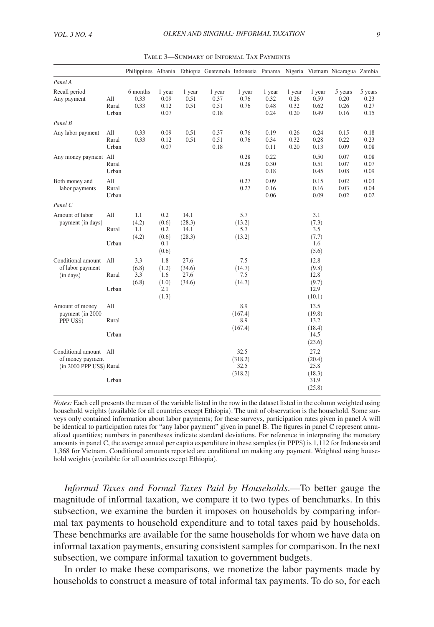<span id="page-8-0"></span>

|                                              |                       |                              |                                |                                  | Philippines Albania Ethiopia Guatemala Indonesia Panama Nigeria Vietnam Nicaragua Zambia |                                |                                |                                |                                |                                 |                                 |
|----------------------------------------------|-----------------------|------------------------------|--------------------------------|----------------------------------|------------------------------------------------------------------------------------------|--------------------------------|--------------------------------|--------------------------------|--------------------------------|---------------------------------|---------------------------------|
| Panel A                                      |                       |                              |                                |                                  |                                                                                          |                                |                                |                                |                                |                                 |                                 |
| Recall period<br>Any payment                 | All<br>Rural<br>Urban | 6 months<br>0.33<br>0.33     | 1 year<br>0.09<br>0.12<br>0.07 | 1 year<br>0.51<br>0.51           | 1 year<br>0.37<br>0.51<br>0.18                                                           | 1 year<br>0.76<br>0.76         | 1 year<br>0.32<br>0.48<br>0.24 | 1 year<br>0.26<br>0.32<br>0.20 | 1 year<br>0.59<br>0.62<br>0.49 | 5 years<br>0.20<br>0.26<br>0.16 | 5 years<br>0.23<br>0.27<br>0.15 |
| Panel B                                      |                       |                              |                                |                                  |                                                                                          |                                |                                |                                |                                |                                 |                                 |
| Any labor payment                            | All<br>Rural<br>Urban | 0.33<br>0.33                 | 0.09<br>0.12<br>0.07           | 0.51<br>0.51                     | 0.37<br>0.51<br>0.18                                                                     | 0.76<br>0.76                   | 0.19<br>0.34<br>0.11           | 0.26<br>0.32<br>0.20           | 0.24<br>0.28<br>0.13           | 0.15<br>0.22<br>0.09            | 0.18<br>0.23<br>0.08            |
| Any money payment All                        | Rural<br>Urban        |                              |                                |                                  |                                                                                          | 0.28<br>0.28                   | 0.22<br>0.30<br>0.18           |                                | 0.50<br>0.51<br>0.45           | 0.07<br>0.07<br>0.08            | 0.08<br>0.07<br>0.09            |
| Both money and<br>labor payments             | All<br>Rural<br>Urban |                              |                                |                                  |                                                                                          | 0.27<br>0.27                   | 0.09<br>0.16<br>0.06           |                                | 0.15<br>0.16<br>0.09           | 0.02<br>0.03<br>0.02            | 0.03<br>0.04<br>0.02            |
| Panel C                                      |                       |                              |                                |                                  |                                                                                          |                                |                                |                                |                                |                                 |                                 |
| Amount of labor<br>payment (in days)         | All<br>Rural          | 1.1<br>(4.2)<br>1.1<br>(4.2) | 0.2<br>(0.6)<br>0.2<br>(0.6)   | 14.1<br>(28.3)<br>14.1<br>(28.3) |                                                                                          | 5.7<br>(13.2)<br>5.7<br>(13.2) |                                |                                | 3.1<br>(7.3)<br>3.5<br>(7.7)   |                                 |                                 |
|                                              | Urban                 |                              | 0.1<br>(0.6)                   |                                  |                                                                                          |                                |                                |                                | 1.6<br>(5.6)                   |                                 |                                 |
| Conditional amount<br>of labor payment       | All                   | 3.3<br>(6.8)                 | 1.8<br>(1.2)                   | 27.6<br>(34.6)                   |                                                                                          | 7.5<br>(14.7)                  |                                |                                | 12.8<br>(9.8)                  |                                 |                                 |
| (in days)                                    | Rural                 | 3.3<br>(6.8)                 | 1.6<br>(1.0)                   | 27.6<br>(34.6)                   |                                                                                          | 7.5<br>(14.7)                  |                                |                                | 12.8<br>(9.7)                  |                                 |                                 |
|                                              | Urban                 |                              | 2.1<br>(1.3)                   |                                  |                                                                                          |                                |                                |                                | 12.9<br>(10.1)                 |                                 |                                 |
| Amount of money                              | All                   |                              |                                |                                  |                                                                                          | 8.9                            |                                |                                | 13.5                           |                                 |                                 |
| payment (in 2000<br>PPP US\$)                | Rural                 |                              |                                |                                  |                                                                                          | (167.4)<br>8.9<br>(167.4)      |                                |                                | (19.8)<br>13.2<br>(18.4)       |                                 |                                 |
|                                              | Urban                 |                              |                                |                                  |                                                                                          |                                |                                |                                | 14.5<br>(23.6)                 |                                 |                                 |
| Conditional amount All                       |                       |                              |                                |                                  |                                                                                          | 32.5                           |                                |                                | 27.2                           |                                 |                                 |
| of money payment<br>(in 2000 PPP US\$) Rural |                       |                              |                                |                                  |                                                                                          | (318.2)<br>32.5<br>(318.2)     |                                |                                | (20.4)<br>25.8<br>(18.3)       |                                 |                                 |
|                                              | Urban                 |                              |                                |                                  |                                                                                          |                                |                                |                                | 31.9<br>(25.8)                 |                                 |                                 |

Table 3—Summary of Informal Tax Payments

*Notes:* Each cell presents the mean of the variable listed in the row in the dataset listed in the column weighted using household weights (available for all countries except Ethiopia). The unit of observation is the household. Some surveys only contained information about labor payments; for these surveys, participation rates given in panel A will be identical to participation rates for "any labor payment" given in panel B. The figures in panel C represent annualized quantities; numbers in parentheses indicate standard deviations. For reference in interpreting the monetary amounts in panel C, the average annual per capita expenditure in these samples (in PPP\$) is 1,112 for Indonesia and 1,368 for Vietnam. Conditional amounts reported are conditional on making any payment. Weighted using household weights (available for all countries except Ethiopia).

*Informal Taxes and Formal Taxes Paid by Households*.—To better gauge the magnitude of informal taxation, we compare it to two types of benchmarks. In this subsection, we examine the burden it imposes on households by comparing informal tax payments to household expenditure and to total taxes paid by households. These benchmarks are available for the same households for whom we have data on informal taxation payments, ensuring consistent samples for comparison. In the next subsection, we compare informal taxation to government budgets.

In order to make these comparisons, we monetize the labor payments made by households to construct a measure of total informal tax payments. To do so, for each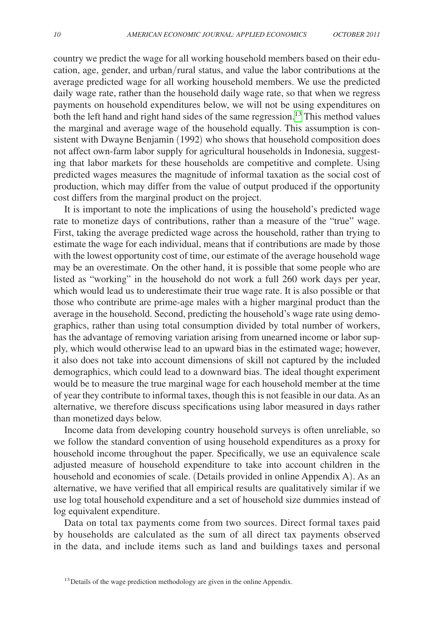country we predict the wage for all working household members based on their education, age, gender, and urban/rural status, and value the labor contributions at the average predicted wage for all working household members. We use the predicted daily wage rate, rather than the household daily wage rate, so that when we regress payments on household expenditures below, we will not be using expenditures on both the left hand and right hand sides of the same regression.<sup>13</sup> This method values the marginal and average wage of the household equally. This assumption is consistent with Dwayne Benjamin (1992) who shows that household composition does not affect own-farm labor supply for agricultural households in Indonesia, suggesting that labor markets for these households are competitive and complete. Using predicted wages measures the magnitude of informal taxation as the social cost of production, which may differ from the value of output produced if the opportunity cost differs from the marginal product on the project.

It is important to note the implications of using the household's predicted wage rate to monetize days of contributions, rather than a measure of the "true" wage. First, taking the average predicted wage across the household, rather than trying to estimate the wage for each individual, means that if contributions are made by those with the lowest opportunity cost of time, our estimate of the average household wage may be an overestimate. On the other hand, it is possible that some people who are listed as "working" in the household do not work a full 260 work days per year, which would lead us to underestimate their true wage rate. It is also possible or that those who contribute are prime-age males with a higher marginal product than the average in the household. Second, predicting the household's wage rate using demographics, rather than using total consumption divided by total number of workers, has the advantage of removing variation arising from unearned income or labor supply, which would otherwise lead to an upward bias in the estimated wage; however, it also does not take into account dimensions of skill not captured by the included demographics, which could lead to a downward bias. The ideal thought experiment would be to measure the true marginal wage for each household member at the time of year they contribute to informal taxes, though this is not feasible in our data. As an alternative, we therefore discuss specifications using labor measured in days rather than monetized days below.

Income data from developing country household surveys is often unreliable, so we follow the standard convention of using household expenditures as a proxy for household income throughout the paper. Specifically, we use an equivalence scale adjusted measure of household expenditure to take into account children in the household and economies of scale. (Details provided in online Appendix A). As an alternative, we have verified that all empirical results are qualitatively similar if we use log total household expenditure and a set of household size dummies instead of log equivalent expenditure.

Data on total tax payments come from two sources. Direct formal taxes paid by households are calculated as the sum of all direct tax payments observed in the data, and include items such as land and buildings taxes and personal

<span id="page-9-0"></span><sup>&</sup>lt;sup>13</sup> Details of the wage prediction methodology are given in the online Appendix.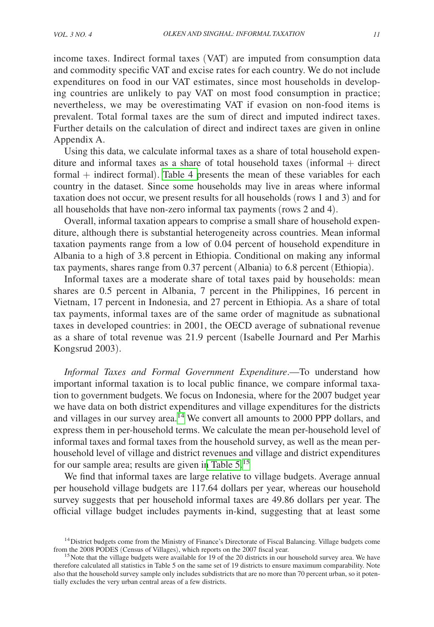income taxes. Indirect formal taxes (VAT) are imputed from consumption data and commodity specific VAT and excise rates for each country. We do not include expenditures on food in our VAT estimates, since most households in developing countries are unlikely to pay VAT on most food consumption in practice; nevertheless, we may be overestimating VAT if evasion on non-food items is prevalent. Total formal taxes are the sum of direct and imputed indirect taxes. Further details on the calculation of direct and indirect taxes are given in online Appendix A.

Using this data, we calculate informal taxes as a share of total household expenditure and informal taxes as a share of total household taxes (informal + direct formal  $+$  indirect formal). [Table 4 p](#page-11-0)resents the mean of these variables for each country in the dataset. Since some households may live in areas where informal taxation does not occur, we present results for all households (rows 1 and 3) and for all households that have non-zero informal tax payments (rows 2 and 4).

Overall, informal taxation appears to comprise a small share of household expenditure, although there is substantial heterogeneity across countries. Mean informal taxation payments range from a low of 0.04 percent of household expenditure in Albania to a high of 3.8 percent in Ethiopia. Conditional on making any informal tax payments, shares range from 0.37 percent (Albania) to 6.8 percent (Ethiopia).

Informal taxes are a moderate share of total taxes paid by households: mean shares are 0.5 percent in Albania, 7 percent in the Philippines, 16 percent in Vietnam, 17 percent in Indonesia, and 27 percent in Ethiopia. As a share of total tax payments, informal taxes are of the same order of magnitude as subnational taxes in developed countries: in 2001, the OECD average of subnational revenue as a share of total revenue was 21.9 percent (Isabelle Journard and Per Marhis Kongsrud 2003).

*Informal Taxes and Formal Government Expenditure*.—To understand how important informal taxation is to local public finance, we compare informal taxation to government budgets. We focus on Indonesia, where for the 2007 budget year we have data on both district expenditures and village expenditures for the districts and villages in our survey area.<sup>14</sup> We convert all amounts to 2000 PPP dollars, and express them in per-household terms. We calculate the mean per-household level of informal taxes and formal taxes from the household survey, as well as the mean perhousehold level of village and district revenues and village and district expenditures for our sample area; results are given i[n Table 5.](#page-11-0)[15](#page-10-1)

We find that informal taxes are large relative to village budgets. Average annual per household village budgets are 117.64 dollars per year, whereas our household survey suggests that per household informal taxes are 49.86 dollars per year. The official village budget includes payments in-kind, suggesting that at least some

<span id="page-10-0"></span><sup>&</sup>lt;sup>14</sup> District budgets come from the Ministry of Finance's Directorate of Fiscal Balancing. Village budgets come from the 2008 PODES (Census of Villages), which reports on the 2007 fiscal year.

<span id="page-10-1"></span><sup>&</sup>lt;sup>15</sup> Note that the village budgets were available for 19 of the 20 districts in our household survey area. We have therefore calculated all statistics in Table 5 on the same set of 19 districts to ensure maximum comparability. Note also that the household survey sample only includes subdistricts that are no more than 70 percent urban, so it potentially excludes the very urban central areas of a few districts.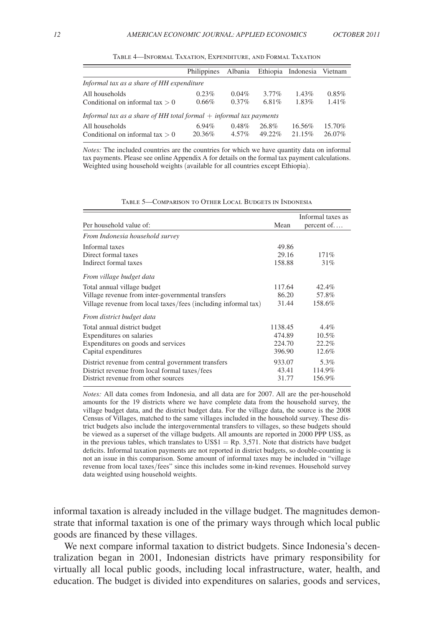<span id="page-11-0"></span>

|                                                                      | <b>Philippines</b> | Albania           |                   | Ethiopia Indonesia Vietnam |                  |
|----------------------------------------------------------------------|--------------------|-------------------|-------------------|----------------------------|------------------|
| Informal tax as a share of HH expenditure                            |                    |                   |                   |                            |                  |
| All households<br>Conditional on informal tax $> 0$                  | 0.23%<br>0.66%     | 0.04%<br>$0.37\%$ | $3.77\%$<br>6.81% | $1.43\%$<br>1.83%          | 0.85%<br>1.41%   |
| Informal tax as a share of HH total formal $+$ informal tax payments |                    |                   |                   |                            |                  |
| All households<br>Conditional on informal tax $> 0$                  | $6.94\%$<br>20.36% | 0.48%<br>4.57%    | 26.8%<br>49.22%   | 16.56%<br>21.15%           | 15.70%<br>26.07% |

Table 4—Informal Taxation, Expenditure, and Formal Taxation

*Notes:* The included countries are the countries for which we have quantity data on informal tax payments. Please see online Appendix A for details on the formal tax payment calculations. Weighted using household weights (available for all countries except Ethiopia).

Table 5—Comparison to Other Local Budgets in Indonesia

| Per household value of:                                                                                                                            | Mean                                  | Informal taxes as<br>percent of $\dots$ |
|----------------------------------------------------------------------------------------------------------------------------------------------------|---------------------------------------|-----------------------------------------|
| From Indonesia household survey                                                                                                                    |                                       |                                         |
| Informal taxes<br>Direct formal taxes<br>Indirect formal taxes                                                                                     | 49.86<br>29.16<br>158.88              | 171%<br>31%                             |
| From village budget data                                                                                                                           |                                       |                                         |
| Total annual village budget<br>Village revenue from inter-governmental transfers<br>Village revenue from local taxes/fees (including informal tax) | 117.64<br>86.20<br>31.44              | 42.4%<br>57.8%<br>158.6%                |
| From district budget data                                                                                                                          |                                       |                                         |
| Total annual district budget<br>Expenditures on salaries<br>Expenditures on goods and services<br>Capital expenditures                             | 1138.45<br>474.89<br>224.70<br>396.90 | 4.4%<br>10.5%<br>22.2%<br>12.6%         |
| District revenue from central government transfers<br>District revenue from local formal taxes/fees<br>District revenue from other sources         | 933.07<br>43.41<br>31.77              | 5.3%<br>114.9%<br>156.9%                |

*Notes:* All data comes from Indonesia, and all data are for 2007. All are the per-household amounts for the 19 districts where we have complete data from the household survey, the village budget data, and the district budget data. For the village data, the source is the 2008 Census of Villages, matched to the same villages included in the household survey. These district budgets also include the intergovernmental transfers to villages, so these budgets should be viewed as a superset of the village budgets. All amounts are reported in 2000 PPP US\$, as in the previous tables, which translates to  $USS1 = Rp. 3,571$ . Note that districts have budget deficits. Informal taxation payments are not reported in district budgets, so double-counting is not an issue in this comparison. Some amount of informal taxes may be included in "village revenue from local taxes/fees" since this includes some in-kind revenues. Household survey data weighted using household weights.

informal taxation is already included in the village budget. The magnitudes demonstrate that informal taxation is one of the primary ways through which local public goods are financed by these villages.

We next compare informal taxation to district budgets. Since Indonesia's decentralization began in 2001, Indonesian districts have primary responsibility for virtually all local public goods, including local infrastructure, water, health, and education. The budget is divided into expenditures on salaries, goods and services,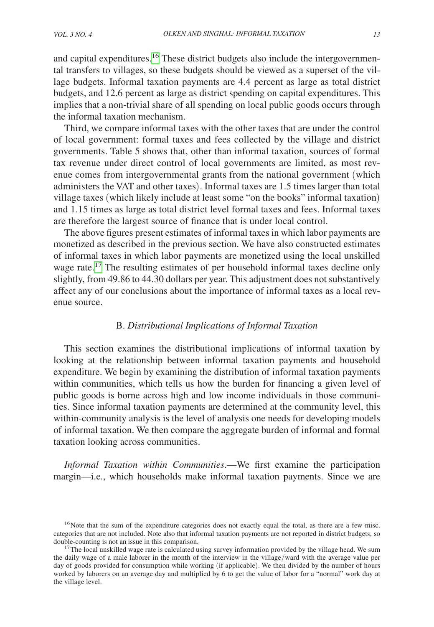<span id="page-12-0"></span>and capital expenditures.[16](#page-12-1) These district budgets also include the intergovernmental transfers to villages, so these budgets should be viewed as a superset of the village budgets. Informal taxation payments are 4.4 percent as large as total district budgets, and 12.6 percent as large as district spending on capital expenditures. This implies that a non-trivial share of all spending on local public goods occurs through the informal taxation mechanism.

Third, we compare informal taxes with the other taxes that are under the control of local government: formal taxes and fees collected by the village and district governments. Table 5 shows that, other than informal taxation, sources of formal tax revenue under direct control of local governments are limited, as most revenue comes from intergovernmental grants from the national government (which administers the VAT and other taxes). Informal taxes are 1.5 times larger than total village taxes (which likely include at least some "on the books" informal taxation) and 1.15 times as large as total district level formal taxes and fees. Informal taxes are therefore the largest source of finance that is under local control.

The above figures present estimates of informal taxes in which labor payments are monetized as described in the previous section. We have also constructed estimates of informal taxes in which labor payments are monetized using the local unskilled wage rate.<sup>[17](#page-12-2)</sup> The resulting estimates of per household informal taxes decline only slightly, from 49.86 to 44.30 dollars per year. This adjustment does not substantively affect any of our conclusions about the importance of informal taxes as a local revenue source.

#### B. *Distributional Implications of Informal Taxation*

This section examines the distributional implications of informal taxation by looking at the relationship between informal taxation payments and household expenditure. We begin by examining the distribution of informal taxation payments within communities, which tells us how the burden for financing a given level of public goods is borne across high and low income individuals in those communities. Since informal taxation payments are determined at the community level, this within-community analysis is the level of analysis one needs for developing models of informal taxation. We then compare the aggregate burden of informal and formal taxation looking across communities.

*Informal Taxation within Communities*.—We first examine the participation margin—i.e., which households make informal taxation payments. Since we are

<span id="page-12-1"></span><sup>&</sup>lt;sup>16</sup>Note that the sum of the expenditure categories does not exactly equal the total, as there are a few misc. categories that are not included. Note also that informal taxation payments are not reported in district budgets, so

<span id="page-12-2"></span> $17$ The local unskilled wage rate is calculated using survey information provided by the village head. We sum the daily wage of a male laborer in the month of the interview in the village/ward with the average value per day of goods provided for consumption while working (if applicable). We then divided by the number of hours worked by laborers on an average day and multiplied by 6 to get the value of labor for a "normal" work day at the village level.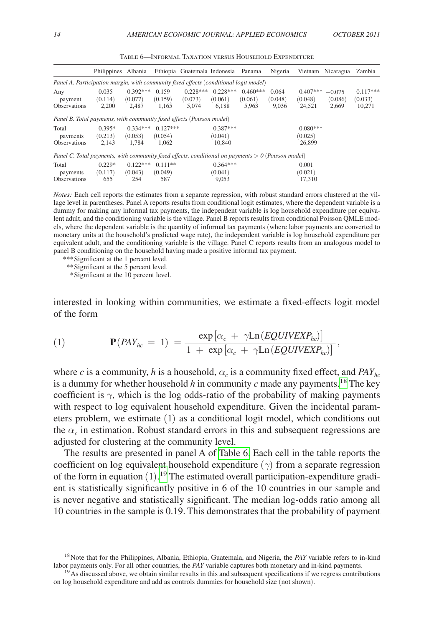|                                                                                                      | Philippines Albania          |                                |                                | Ethiopia Guatemala Indonesia Panama |                                 |                                | Nigeria                   |                                 | Vietnam Nicaragua            | Zambia                          |
|------------------------------------------------------------------------------------------------------|------------------------------|--------------------------------|--------------------------------|-------------------------------------|---------------------------------|--------------------------------|---------------------------|---------------------------------|------------------------------|---------------------------------|
| Panel A. Participation margin, with community fixed effects (conditional logit model)                |                              |                                |                                |                                     |                                 |                                |                           |                                 |                              |                                 |
| Any<br>payment<br><b>Observations</b>                                                                | 0.035<br>(0.114)<br>2,200    | $0.392***$<br>(0.077)<br>2,487 | 0.159<br>(0.159)<br>1,165      | $0.228***$<br>(0.073)<br>5,074      | $0.228***$<br>(0.061)<br>6,188  | $0.460***$<br>(0.061)<br>5,963 | 0.064<br>(0.048)<br>9,036 | $0.407***$<br>(0.048)<br>24,521 | $-0.075$<br>(0.086)<br>2,669 | $0.117***$<br>(0.033)<br>10,271 |
| Panel B. Total payments, with community fixed effects (Poisson model)                                |                              |                                |                                |                                     |                                 |                                |                           |                                 |                              |                                 |
| Total<br>payments<br><b>Observations</b>                                                             | $0.395*$<br>(0.213)<br>2.143 | $0.334***$<br>(0.053)<br>1.784 | $0.127***$<br>(0.054)<br>1.062 |                                     | $0.387***$<br>(0.041)<br>10.840 |                                |                           | $0.080***$<br>(0.025)<br>26,899 |                              |                                 |
| Panel C. Total payments, with community fixed effects, conditional on payments $> 0$ (Poisson model) |                              |                                |                                |                                     |                                 |                                |                           |                                 |                              |                                 |
| Total<br>payments<br><b>Observations</b>                                                             | $0.229*$<br>(0.117)<br>655   | $0.122***$<br>(0.043)<br>254   | $0.111**$<br>(0.049)<br>587    |                                     | $0.364***$<br>(0.041)<br>9.053  |                                |                           | 0.001<br>(0.021)<br>17.310      |                              |                                 |

Table 6—Informal Taxation versus Household Expenditure

*Notes:* Each cell reports the estimates from a separate regression, with robust standard errors clustered at the village level in parentheses. Panel A reports results from conditional logit estimates, where the dependent variable is a dummy for making any informal tax payments, the independent variable is log household expenditure per equivalent adult, and the conditioning variable is the village. Panel B reports results from conditional Poisson QMLE models, where the dependent variable is the quantity of informal tax payments (where labor payments are converted to monetary units at the household's predicted wage rate), the independent variable is log household expenditure per equivalent adult, and the conditioning variable is the village. Panel C reports results from an analogous model to panel B conditioning on the household having made a positive informal tax payment.

*\*\*\**Significant at the 1 percent level.

*\*\**Significant at the 5 percent level.

 *\**Significant at the 10 percent level.

interested in looking within communities, we estimate a fixed-effects logit model of the form

interested in looking within communities, we estimate a fixed-effects logit model of the form

\n
$$
\mathbf{P}(PAY_{hc} = 1) = \frac{\exp[\alpha_c + \gamma \text{Ln}(EQUIVEXP_{hc})]}{1 + \exp[\alpha_c + \gamma \text{Ln}(EQUIVEXP_{hc})]},
$$
\nwhere *c* is a community, *h* is a household,  $\alpha_c$  is a community fixed effect, and  $PAY_{hc}$ .

is a dummy for whether household *h* in community *c* made any payments.<sup>18</sup> The key coefficient is  $\gamma$ , which is the log odds-ratio of the probability of making payments with respect to log equivalent household expenditure. Given the incidental parameters problem, we estimate (1) as a conditional logit model, which conditions out the  $\alpha_c$  in estimation. Robust standard errors in this and subsequent regressions are adjusted for clustering at the community level.

The results are presented in panel A of Table 6. Each cell in the table reports the coefficient on log equivalent household expenditure  $(\gamma)$  from a separate regression of the form in equation (1). [19](#page-13-1) The estimated overall participation-expenditure gradient is statistically significantly positive in 6 of the 10 countries in our sample and is never negative and statistically significant. The median log-odds ratio among all 10 countries in the sample is 0.19. This demonstrates that the probability of payment

<span id="page-13-0"></span><sup>&</sup>lt;sup>18</sup>Note that for the Philippines, Albania, Ethiopia, Guatemala, and Nigeria, the *PAY* variable refers to in-kind labor payments only. For all other countries, the PAY variable captures both monetary and in-kind payments.<br><sup>19</sup>As discussed above, we obtain similar results in this and subsequent specifications if we regress contribution

<span id="page-13-1"></span>on log household expenditure and add as controls dummies for household size (not shown).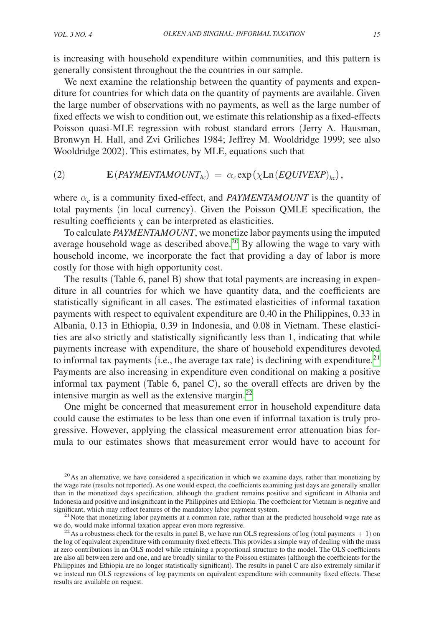is increasing with household expenditure within communities, and this pattern is generally consistent throughout the the countries in our sample.

We next examine the relationship between the quantity of payments and expenditure for countries for which data on the quantity of payments are available. Given the large number of observations with no payments, as well as the large number of fixed effects we wish to condition out, we estimate this relationship as a fixed-effects Poisson quasi-MLE regression with robust standard errors (Jerry A. Hausman, Bronwyn H. Hall, and Zvi Griliches 1984; Jeffrey M. Wooldridge 1999; see also Wooldridge 2002). This estimates, by MLE, equations such that

(2) 
$$
\mathbf{E}(PAYMENTAMOUNT_{hc}) = \alpha_c \exp(\chi \text{Ln}(EQUIVEXP)_{hc}),
$$

where  $\alpha_c$  is a community fixed-effect, and *PAYMENTAMOUNT* is the quantity of total payments (in local currency). Given the Poisson QMLE specification, the resulting coefficients  $\chi$  can be interpreted as elasticities.

To calculate *PAYMENTAMOUNT*, we monetize labor payments using the imputed average household wage as described above.<sup>[20](#page-14-0)</sup> By allowing the wage to vary with household income, we incorporate the fact that providing a day of labor is more costly for those with high opportunity cost.

The results (Table 6, panel B) show that total payments are increasing in expenditure in all countries for which we have quantity data, and the coefficients are statistically significant in all cases. The estimated elasticities of informal taxation payments with respect to equivalent expenditure are 0.40 in the Philippines, 0.33 in Albania, 0.13 in Ethiopia, 0.39 in Indonesia, and 0.08 in Vietnam. These elasticities are also strictly and statistically significantly less than 1, indicating that while payments increase with expenditure, the share of household expenditures devoted to informal tax payments (i.e., the average tax rate) is declining with expenditure.<sup>[21](#page-14-1)</sup> Payments are also increasing in expenditure even conditional on making a positive informal tax payment (Table 6, panel C), so the overall effects are driven by the intensive margin as well as the extensive margin. $^{22}$  $^{22}$  $^{22}$ 

One might be concerned that measurement error in household expenditure data could cause the estimates to be less than one even if informal taxation is truly progressive. However, applying the classical measurement error attenuation bias formula to our estimates shows that measurement error would have to account for

<span id="page-14-0"></span> $20$ As an alternative, we have considered a specification in which we examine days, rather than monetizing by the wage rate (results not reported). As one would expect, the coefficients examining just days are generally smaller than in the monetized days specification, although the gradient remains positive and significant in Albania and Indonesia and positive and insignificant in the Philippines and Ethiopia. The coefficient for Vietnam is negative and significant, which may reflect features of the mandatory labor payment system.

<span id="page-14-1"></span><sup>&</sup>lt;sup>21</sup> Note that monetizing labor payments at a common rate, rather than at the predicted household wage rate as we do, would make informal taxation appear even more regressive.

<span id="page-14-2"></span><sup>&</sup>lt;sup>22</sup> As a robustness check for the results in panel B, we have run OLS regressions of log (total payments  $+ 1$ ) on the log of equivalent expenditure with community fixed effects. This provides a simple way of dealing with the mass at zero contributions in an OLS model while retaining a proportional structure to the model. The OLS coefficients are also all between zero and one, and are broadly similar to the Poisson estimates (although the coefficients for the Philippines and Ethiopia are no longer statistically significant). The results in panel C are also extremely similar if we instead run OLS regressions of log payments on equivalent expenditure with community fixed effects. These results are available on request.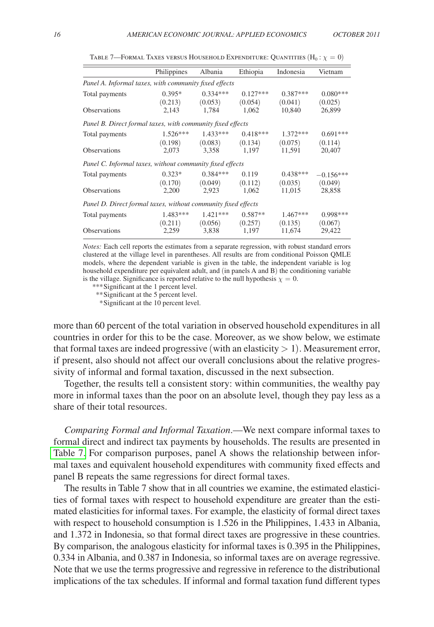|                                                               | Philippines           | Albania               | Ethiopia              | Indonesia             | Vietnam                |  |  |  |
|---------------------------------------------------------------|-----------------------|-----------------------|-----------------------|-----------------------|------------------------|--|--|--|
| Panel A. Informal taxes, with community fixed effects         |                       |                       |                       |                       |                        |  |  |  |
| Total payments                                                | $0.395*$<br>(0.213)   | $0.334***$<br>(0.053) | $0.127***$<br>(0.054) | $0.387***$<br>(0.041) | $0.080***$<br>(0.025)  |  |  |  |
| <b>Observations</b>                                           | 2,143                 | 1,784                 | 1,062                 | 10,840                | 26,899                 |  |  |  |
| Panel B. Direct formal taxes, with community fixed effects    |                       |                       |                       |                       |                        |  |  |  |
| Total payments                                                | $1.526***$<br>(0.198) | $1.433***$<br>(0.083) | $0.418***$<br>(0.134) | $1.372***$<br>(0.075) | $0.691***$<br>(0.114)  |  |  |  |
| <b>Observations</b>                                           | 2,073                 | 3,358                 | 1,197                 | 11,591                | 20,407                 |  |  |  |
| Panel C. Informal taxes, without community fixed effects      |                       |                       |                       |                       |                        |  |  |  |
| Total payments                                                | $0.323*$<br>(0.170)   | $0.384***$<br>(0.049) | 0.119<br>(0.112)      | $0.438***$<br>(0.035) | $-0.156***$<br>(0.049) |  |  |  |
| <b>Observations</b>                                           | 2,200                 | 2,923                 | 1.062                 | 11,015                | 28,858                 |  |  |  |
| Panel D. Direct formal taxes, without community fixed effects |                       |                       |                       |                       |                        |  |  |  |
| Total payments                                                | 1.483***<br>(0.211)   | $1.421***$<br>(0.056) | $0.587**$<br>(0.257)  | 1.467***<br>(0.135)   | $0.998***$<br>(0.067)  |  |  |  |
| Observations                                                  | 2,259                 | 3,838                 | 1,197                 | 11,674                | 29,422                 |  |  |  |

Table 7—Formal Taxes versus Household Expenditure: Quantities  $(H_0 : \chi = 0)$ 

*Notes:* Each cell reports the estimates from a separate regression, with robust standard errors clustered at the village level in parentheses. All results are from conditional Poisson QMLE models, where the dependent variable is given in the table, the independent variable is log household expenditure per equivalent adult, and (in panels A and B) the conditioning variable is the village. Significance is reported relative to the null hypothesis  $\chi = 0$ .

*\*\*\**Significant at the 1 percent level.

*\*\**Significant at the 5 percent level.

 *\**Significant at the 10 percent level.

more than 60 percent of the total variation in observed household expenditures in all countries in order for this to be the case. Moreover, as we show below, we estimate that formal taxes are indeed progressive (with an elasticity  $> 1$ ). Measurement error, if present, also should not affect our overall conclusions about the relative progressivity of informal and formal taxation, discussed in the next subsection.

Together, the results tell a consistent story: within communities, the wealthy pay more in informal taxes than the poor on an absolute level, though they pay less as a share of their total resources.

*Comparing Formal and Informal Taxation*.—We next compare informal taxes to formal direct and indirect tax payments by households. The results are presented in Table 7. For comparison purposes, panel A shows the relationship between informal taxes and equivalent household expenditures with community fixed effects and panel B repeats the same regressions for direct formal taxes.

The results in Table 7 show that in all countries we examine, the estimated elasticities of formal taxes with respect to household expenditure are greater than the estimated elasticities for informal taxes. For example, the elasticity of formal direct taxes with respect to household consumption is 1.526 in the Philippines, 1.433 in Albania, and 1.372 in Indonesia, so that formal direct taxes are progressive in these countries. By comparison, the analogous elasticity for informal taxes is 0.395 in the Philippines, 0.334 in Albania, and 0.387 in Indonesia, so informal taxes are on average regressive. Note that we use the terms progressive and regressive in reference to the distributional implications of the tax schedules. If informal and formal taxation fund different types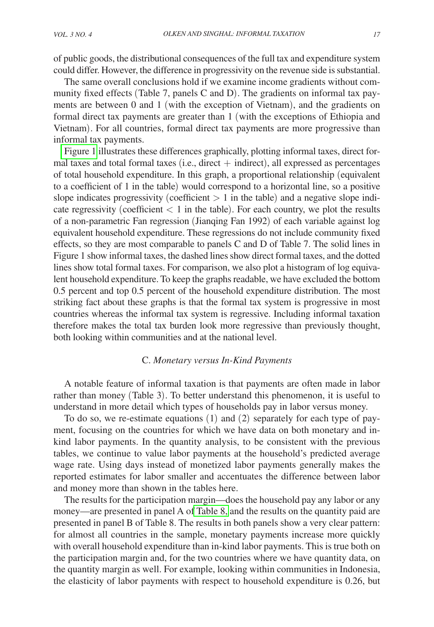<span id="page-16-0"></span>of public goods, the distributional consequences of the full tax and expenditure system could differ. However, the difference in progressivity on the revenue side is substantial.

The same overall conclusions hold if we examine income gradients without community fixed effects (Table 7, panels C and D). The gradients on informal tax payments are between 0 and 1 (with the exception of Vietnam), and the gradients on formal direct tax payments are greater than 1 (with the exceptions of Ethiopia and Vietnam). For all countries, formal direct tax payments are more progressive than informal tax payments.

[Figure 1](#page-17-0) illustrates these differences graphically, plotting informal taxes, direct formal taxes and total formal taxes (i.e., direct  $+$  indirect), all expressed as percentages of total household expenditure. In this graph, a proportional relationship (equivalent to a coefficient of 1 in the table) would correspond to a horizontal line, so a positive slope indicates progressivity (coefficient  $> 1$  in the table) and a negative slope indicate regressivity (coefficient  $< 1$  in the table). For each country, we plot the results of a non-parametric Fan regression (Jianqing Fan 1992) of each variable against log equivalent household expenditure. These regressions do not include community fixed effects, so they are most comparable to panels C and D of Table 7. The solid lines in Figure 1 show informal taxes, the dashed lines show direct formal taxes, and the dotted lines show total formal taxes. For comparison, we also plot a histogram of log equivalent household expenditure. To keep the graphs readable, we have excluded the bottom 0.5 percent and top 0.5 percent of the household expenditure distribution. The most striking fact about these graphs is that the formal tax system is progressive in most countries whereas the informal tax system is regressive. Including informal taxation therefore makes the total tax burden look more regressive than previously thought, both looking within communities and at the national level.

#### C. *Monetary versus In-Kind Payments*

A notable feature of informal taxation is that payments are often made in labor rather than money (Table 3). To better understand this phenomenon, it is useful to understand in more detail which types of households pay in labor versus money.

To do so, we re-estimate equations (1) and (2) separately for each type of payment, focusing on the countries for which we have data on both monetary and inkind labor payments. In the quantity analysis, to be consistent with the previous tables, we continue to value labor payments at the household's predicted average wage rate. Using days instead of monetized labor payments generally makes the reported estimates for labor smaller and accentuates the difference between labor and money more than shown in the tables here.

The results for the participation margin—does the household pay any labor or any money—are presented in panel A o[f Table 8,](#page-18-0) and the results on the quantity paid are presented in panel B of Table 8. The results in both panels show a very clear pattern: for almost all countries in the sample, monetary payments increase more quickly with overall household expenditure than in-kind labor payments. This is true both on the participation margin and, for the two countries where we have quantity data, on the quantity margin as well. For example, looking within communities in Indonesia, the elasticity of labor payments with respect to household expenditure is 0.26, but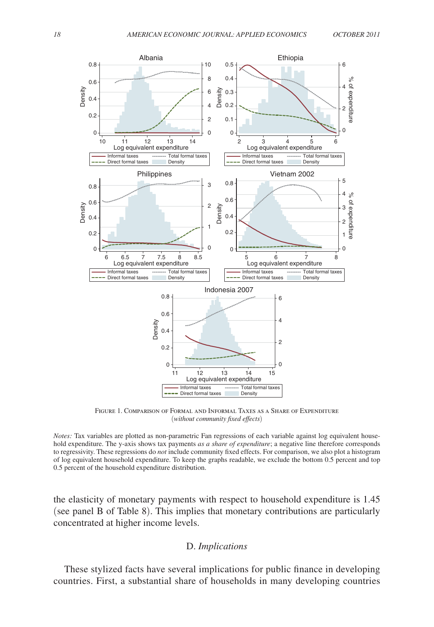<span id="page-17-0"></span>

Figure 1. Comparison of Formal and Informal Taxes as a Share of Expenditure (*without community fixed effects*)

*Notes:* Tax variables are plotted as non-parametric Fan regressions of each variable against log equivalent household expenditure. The y-axis shows tax payments *as a share of expenditure*; a negative line therefore corresponds to regressivity. These regressions do *not* include community fixed effects. For comparison, we also plot a histogram of log equivalent household expenditure. To keep the graphs readable, we exclude the bottom 0.5 percent and top 0.5 percent of the household expenditure distribution.

the elasticity of monetary payments with respect to household expenditure is 1.45 (see panel B of Table 8). This implies that monetary contributions are particularly concentrated at higher income levels.

## D. *Implications*

These stylized facts have several implications for public finance in developing countries. First, a substantial share of households in many developing countries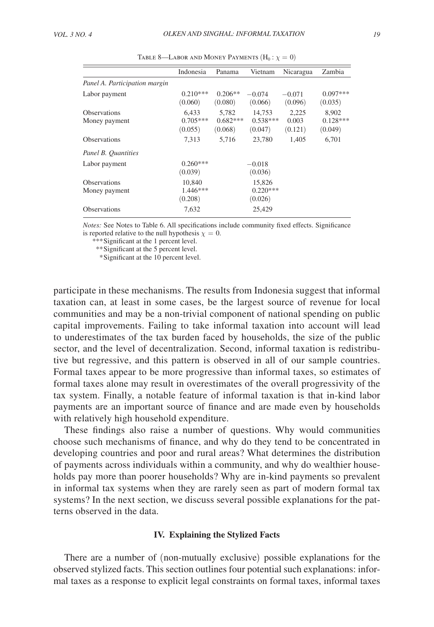<span id="page-18-0"></span>

|                                      | Indonesia                       | Panama                         | Vietnam                         | Nicaragua                 | Zambia                         |
|--------------------------------------|---------------------------------|--------------------------------|---------------------------------|---------------------------|--------------------------------|
| Panel A. Participation margin        |                                 |                                |                                 |                           |                                |
| Labor payment                        | $0.210***$<br>(0.060)           | $0.206**$<br>(0.080)           | $-0.074$<br>(0.066)             | $-0.071$<br>(0.096)       | $0.097***$<br>(0.035)          |
| <b>Observations</b><br>Money payment | 6.433<br>$0.705***$<br>(0.055)  | 5.782<br>$0.682***$<br>(0.068) | 14.753<br>$0.538***$<br>(0.047) | 2.225<br>0.003<br>(0.121) | 8.902<br>$0.128***$<br>(0.049) |
| <b>Observations</b>                  | 7.313                           | 5.716                          | 23,780                          | 1.405                     | 6.701                          |
| Panel B. Quantities                  |                                 |                                |                                 |                           |                                |
| Labor payment                        | $0.260***$<br>(0.039)           |                                | $-0.018$<br>(0.036)             |                           |                                |
| <b>Observations</b><br>Money payment | 10.840<br>$1.446***$<br>(0.208) |                                | 15,826<br>$0.220***$<br>(0.026) |                           |                                |
| <b>Observations</b>                  | 7,632                           |                                | 25,429                          |                           |                                |

TABLE 8—LABOR AND MONEY PAYMENTS  $(H_0 : \chi = 0)$ 

*Notes:* See Notes to Table 6. All specifications include community fixed effects. Significance is reported relative to the null hypothesis  $\chi = 0$ .

*\*\*\**Significant at the 1 percent level.

*\*\**Significant at the 5 percent level.

 *\**Significant at the 10 percent level.

participate in these mechanisms. The results from Indonesia suggest that informal taxation can, at least in some cases, be the largest source of revenue for local communities and may be a non-trivial component of national spending on public capital improvements. Failing to take informal taxation into account will lead to underestimates of the tax burden faced by households, the size of the public sector, and the level of decentralization. Second, informal taxation is redistributive but regressive, and this pattern is observed in all of our sample countries. Formal taxes appear to be more progressive than informal taxes, so estimates of formal taxes alone may result in overestimates of the overall progressivity of the tax system. Finally, a notable feature of informal taxation is that in-kind labor payments are an important source of finance and are made even by households with relatively high household expenditure.

These findings also raise a number of questions. Why would communities choose such mechanisms of finance, and why do they tend to be concentrated in developing countries and poor and rural areas? What determines the distribution of payments across individuals within a community, and why do wealthier households pay more than poorer households? Why are in-kind payments so prevalent in informal tax systems when they are rarely seen as part of modern formal tax systems? In the next section, we discuss several possible explanations for the patterns observed in the data.

#### **IV. Explaining the Stylized Facts**

There are a number of (non-mutually exclusive) possible explanations for the observed stylized facts. This section outlines four potential such explanations: informal taxes as a response to explicit legal constraints on formal taxes, informal taxes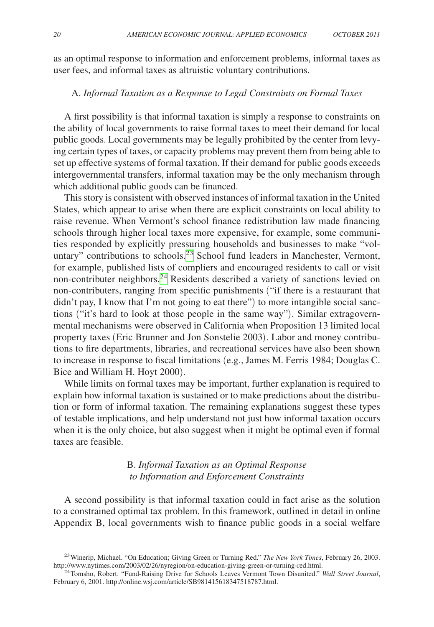<span id="page-19-0"></span>as an optimal response to information and enforcement problems, informal taxes as user fees, and informal taxes as altruistic voluntary contributions.

### A. *Informal Taxation as a Response to Legal Constraints on Formal Taxes*

A first possibility is that informal taxation is simply a response to constraints on the ability of local governments to raise formal taxes to meet their demand for local public goods. Local governments may be legally prohibited by the center from levying certain types of taxes, or capacity problems may prevent them from being able to set up effective systems of formal taxation. If their demand for public goods exceeds intergovernmental transfers, informal taxation may be the only mechanism through which additional public goods can be financed.

This story is consistent with observed instances of informal taxation in the United States, which appear to arise when there are explicit constraints on local ability to raise revenue. When Vermont's school finance redistribution law made financing schools through higher local taxes more expensive, for example, some communities responded by explicitly pressuring households and businesses to make "voluntary" contributions to schools.<sup>23</sup> School fund leaders in Manchester, Vermont, for example, published lists of compliers and encouraged residents to call or visit non-contributer neighbors.[24](#page-19-2) Residents described a variety of sanctions levied on non-contributers, ranging from specific punishments ("if there is a restaurant that didn't pay, I know that I'm not going to eat there") to more intangible social sanctions ("it's hard to look at those people in the same way"). Similar extragovernmental mechanisms were observed in California when Proposition 13 limited local property taxes (Eric Brunner and Jon Sonstelie 2003). Labor and money contributions to fire departments, libraries, and recreational services have also been shown to increase in response to fiscal limitations (e.g., James M. Ferris 1984; Douglas C. Bice and William H. Hoyt 2000).

While limits on formal taxes may be important, further explanation is required to explain how informal taxation is sustained or to make predictions about the distribution or form of informal taxation. The remaining explanations suggest these types of testable implications, and help understand not just how informal taxation occurs when it is the only choice, but also suggest when it might be optimal even if formal taxes are feasible.

## B. *Informal Taxation as an Optimal Response to Information and Enforcement Constraints*

A second possibility is that informal taxation could in fact arise as the solution to a constrained optimal tax problem. In this framework, outlined in detail in online Appendix B, local governments wish to finance public goods in a social welfare

<span id="page-19-1"></span><sup>23</sup>Winerip, Michael. "On Education; Giving Green or Turning Red." *The New York Times*, February 26, 2003. http://www.nytimes.com/2003/02/26/nyregion/on-education-giving-green-or-turning-red.html. 24Tomsho, Robert. "Fund-Raising Drive for Schools Leaves Vermont Town Disunited." *Wall Street Journal*,

<span id="page-19-2"></span>February 6, 2001. http://online.wsj.com/article/SB981415618347518787.html.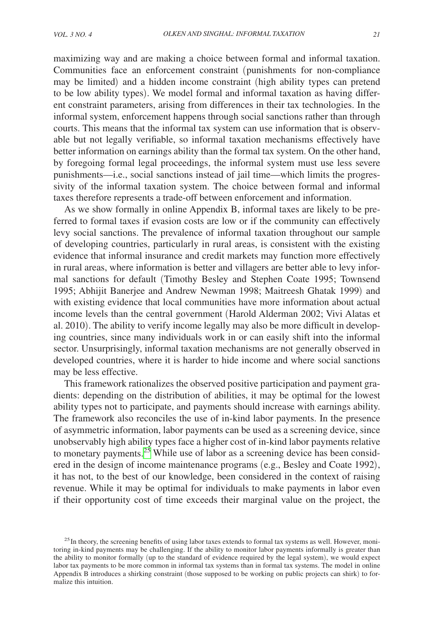maximizing way and are making a choice between formal and informal taxation. Communities face an enforcement constraint (punishments for non-compliance may be limited) and a hidden income constraint (high ability types can pretend to be low ability types). We model formal and informal taxation as having different constraint parameters, arising from differences in their tax technologies. In the informal system, enforcement happens through social sanctions rather than through courts. This means that the informal tax system can use information that is observable but not legally verifiable, so informal taxation mechanisms effectively have better information on earnings ability than the formal tax system. On the other hand, by foregoing formal legal proceedings, the informal system must use less severe punishments—i.e., social sanctions instead of jail time—which limits the progressivity of the informal taxation system. The choice between formal and informal taxes therefore represents a trade-off between enforcement and information.

As we show formally in online Appendix B, informal taxes are likely to be preferred to formal taxes if evasion costs are low or if the community can effectively levy social sanctions. The prevalence of informal taxation throughout our sample of developing countries, particularly in rural areas, is consistent with the existing evidence that informal insurance and credit markets may function more effectively in rural areas, where information is better and villagers are better able to levy informal sanctions for default (Timothy Besley and Stephen Coate 1995; Townsend 1995; Abhijit Banerjee and Andrew Newman 1998; Maitreesh Ghatak 1999) and with existing evidence that local communities have more information about actual income levels than the central government (Harold Alderman 2002; Vivi Alatas et al. 2010). The ability to verify income legally may also be more difficult in developing countries, since many individuals work in or can easily shift into the informal sector. Unsurprisingly, informal taxation mechanisms are not generally observed in developed countries, where it is harder to hide income and where social sanctions may be less effective.

This framework rationalizes the observed positive participation and payment gradients: depending on the distribution of abilities, it may be optimal for the lowest ability types not to participate, and payments should increase with earnings ability. The framework also reconciles the use of in-kind labor payments. In the presence of asymmetric information, labor payments can be used as a screening device, since unobservably high ability types face a higher cost of in-kind labor payments relative to monetary payments.<sup>25</sup> While use of labor as a screening device has been considered in the design of income maintenance programs (e.g., Besley and Coate 1992), it has not, to the best of our knowledge, been considered in the context of raising revenue. While it may be optimal for individuals to make payments in labor even if their opportunity cost of time exceeds their marginal value on the project, the

<span id="page-20-0"></span> $^{25}$  In theory, the screening benefits of using labor taxes extends to formal tax systems as well. However, monitoring in-kind payments may be challenging. If the ability to monitor labor payments informally is greater than the ability to monitor formally (up to the standard of evidence required by the legal system), we would expect labor tax payments to be more common in informal tax systems than in formal tax systems. The model in online Appendix B introduces a shirking constraint (those supposed to be working on public projects can shirk) to formalize this intuition.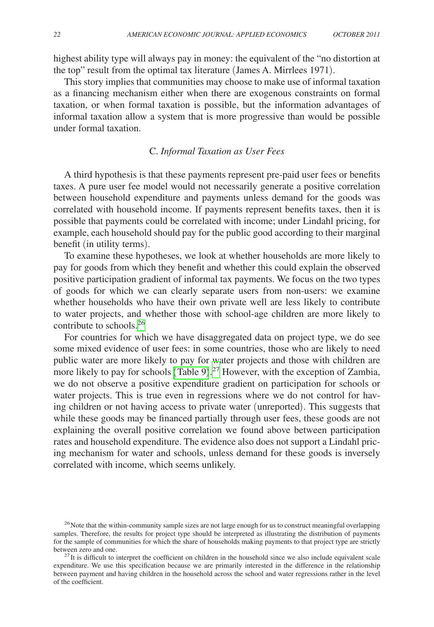<span id="page-21-0"></span>highest ability type will always pay in money: the equivalent of the "no distortion at the top" result from the optimal tax literature (James A. Mirrlees 1971).

This story implies that communities may choose to make use of informal taxation as a financing mechanism either when there are exogenous constraints on formal taxation, or when formal taxation is possible, but the information advantages of informal taxation allow a system that is more progressive than would be possible under formal taxation.

## C. *Informal Taxation as User Fees*

A third hypothesis is that these payments represent pre-paid user fees or benefits taxes. A pure user fee model would not necessarily generate a positive correlation between household expenditure and payments unless demand for the goods was correlated with household income. If payments represent benefits taxes, then it is possible that payments could be correlated with income; under Lindahl pricing, for example, each household should pay for the public good according to their marginal benefit (in utility terms).

To examine these hypotheses, we look at whether households are more likely to pay for goods from which they benefit and whether this could explain the observed positive participation gradient of informal tax payments. We focus on the two types of goods for which we can clearly separate users from non-users: we examine whether households who have their own private well are less likely to contribute to water projects, and whether those with school-age children are more likely to contribute to schools[.26](#page-21-1)

For countries for which we have disaggregated data on project type, we do see some mixed evidence of user fees: in some countries, those who are likely to need public water are more likely to pay for water projects and those with children are more likely to pay for schools ([Table 9](#page-22-0)).<sup>[27](#page-21-2)</sup> However, with the exception of Zambia, we do not observe a positive expenditure gradient on participation for schools or water projects. This is true even in regressions where we do not control for having children or not having access to private water (unreported). This suggests that while these goods may be financed partially through user fees, these goods are not explaining the overall positive correlation we found above between participation rates and household expenditure. The evidence also does not support a Lindahl pricing mechanism for water and schools, unless demand for these goods is inversely correlated with income, which seems unlikely.

<span id="page-21-1"></span><sup>&</sup>lt;sup>26</sup>Note that the within-community sample sizes are not large enough for us to construct meaningful overlapping samples. Therefore, the results for project type should be interpreted as illustrating the distribution of payments for the sample of communities for which the share of households making payments to that project type are strictly between zero and one.<br><sup>27</sup>It is difficult to interpret the coefficient on children in the household since we also include equivalent scale

<span id="page-21-2"></span>expenditure. We use this specification because we are primarily interested in the difference in the relationship between payment and having children in the household across the school and water regressions rather in the level of the coefficient.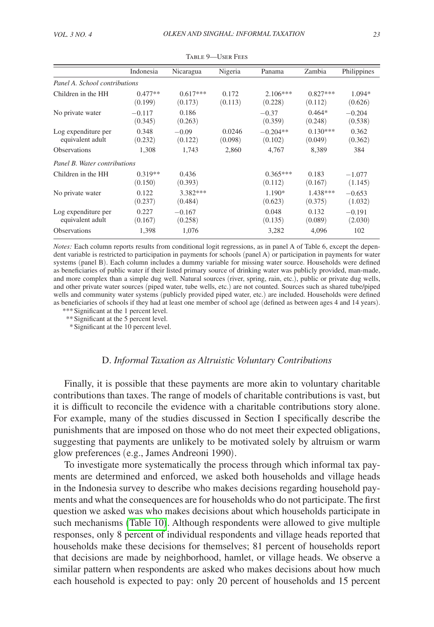<span id="page-22-0"></span>

|                                         | Indonesia            | Nicaragua             | Nigeria           | Panama                | Zambia                | Philippines         |
|-----------------------------------------|----------------------|-----------------------|-------------------|-----------------------|-----------------------|---------------------|
| Panel A. School contributions           |                      |                       |                   |                       |                       |                     |
| Children in the HH                      | $0.477**$<br>(0.199) | $0.617***$<br>(0.173) | 0.172<br>(0.113)  | $2.106***$<br>(0.228) | $0.827***$<br>(0.112) | 1.094*<br>(0.626)   |
| No private water                        | $-0.117$<br>(0.345)  | 0.186<br>(0.263)      |                   | $-0.37$<br>(0.359)    | $0.464*$<br>(0.248)   | $-0.204$<br>(0.538) |
| Log expenditure per<br>equivalent adult | 0.348<br>(0.232)     | $-0.09$<br>(0.122)    | 0.0246<br>(0.098) | $-0.204**$<br>(0.102) | $0.130***$<br>(0.049) | 0.362<br>(0.362)    |
| <b>Observations</b>                     | 1.308                | 1.743                 | 2.860             | 4.767                 | 8.389                 | 384                 |
| Panel B. Water contributions            |                      |                       |                   |                       |                       |                     |
| Children in the HH                      | $0.319**$<br>(0.150) | 0.436<br>(0.393)      |                   | $0.365***$<br>(0.112) | 0.183<br>(0.167)      | $-1.077$<br>(1.145) |
| No private water                        | 0.122<br>(0.237)     | 3.382 ***<br>(0.484)  |                   | $1.190*$<br>(0.623)   | $1.438***$<br>(0.375) | $-0.653$<br>(1.032) |
| Log expenditure per<br>equivalent adult | 0.227<br>(0.167)     | $-0.167$<br>(0.258)   |                   | 0.048<br>(0.135)      | 0.132<br>(0.089)      | $-0.191$<br>(2.030) |
| <b>Observations</b>                     | 1,398                | 1,076                 |                   | 3,282                 | 4,096                 | 102                 |

Table 9—User Fees

*Notes:* Each column reports results from conditional logit regressions, as in panel A of Table 6, except the dependent variable is restricted to participation in payments for schools (panel A) or participation in payments for water systems (panel B). Each column includes a dummy variable for missing water source. Households were defined as beneficiaries of public water if their listed primary source of drinking water was publicly provided, man-made, and more complex than a simple dug well. Natural sources (river, spring, rain, etc.), public or private dug wells, and other private water sources (piped water, tube wells, etc.) are not counted. Sources such as shared tube/piped wells and community water systems (publicly provided piped water, etc.) are included. Households were defined as beneficiaries of schools if they had at least one member of school age (defined as between ages 4 and 14 years). \*\*\* Significant at the 1 percent level.

\*\* Significant at the 5 percent level.

\*Significant at the 10 percent level.

## D. *Informal Taxation as Altruistic Voluntary Contributions*

Finally, it is possible that these payments are more akin to voluntary charitable contributions than taxes. The range of models of charitable contributions is vast, but it is difficult to reconcile the evidence with a charitable contributions story alone. For example, many of the studies discussed in Section I specifically describe the punishments that are imposed on those who do not meet their expected obligations, suggesting that payments are unlikely to be motivated solely by altruism or warm glow preferences (e.g., James Andreoni 1990).

To investigate more systematically the process through which informal tax payments are determined and enforced, we asked both households and village heads in the Indonesia survey to describe who makes decisions regarding household payments and what the consequences are for households who do not participate. The first question we asked was who makes decisions about which households participate in such mechanisms ([Table 10](#page-23-0)). Although respondents were allowed to give multiple responses, only 8 percent of individual respondents and village heads reported that households make these decisions for themselves; 81 percent of households report that decisions are made by neighborhood, hamlet, or village heads. We observe a similar pattern when respondents are asked who makes decisions about how much each household is expected to pay: only 20 percent of households and 15 percent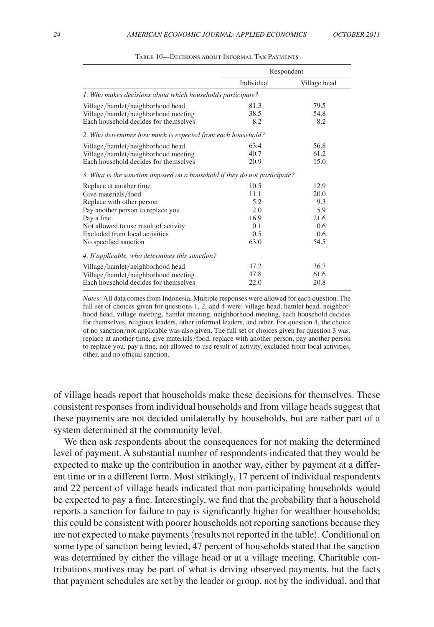<span id="page-23-0"></span>

|                                                                            | Respondent |              |  |  |  |
|----------------------------------------------------------------------------|------------|--------------|--|--|--|
|                                                                            | Individual | Village head |  |  |  |
| 1. Who makes decisions about which households participate?                 |            |              |  |  |  |
| Village/hamlet/neighborhood head                                           | 81.3       | 79.5         |  |  |  |
| Village/hamlet/neighborhood meeting                                        | 38.5       | 54.8         |  |  |  |
| Each household decides for themselves                                      | 8.2        | 8.2          |  |  |  |
| 2. Who determines how much is expected from each household?                |            |              |  |  |  |
| Village/hamlet/neighborhood head                                           | 63.4       | 56.8         |  |  |  |
| Village/hamlet/neighborhood meeting                                        | 40.7       | 61.2         |  |  |  |
| Each household decides for themselves                                      | 20.9       | 15.0         |  |  |  |
| 3. What is the sanction imposed on a household if they do not participate? |            |              |  |  |  |
| Replace at another time                                                    | 10.5       | 12.9         |  |  |  |
| Give materials/food                                                        | 11.1       | 20.0         |  |  |  |
| Replace with other person                                                  | 5.2        | 9.3          |  |  |  |
| Pay another person to replace you                                          | 2.0        | 5.9          |  |  |  |
| Pay a fine                                                                 | 16.9       | 21.6         |  |  |  |
| Not allowed to use result of activity                                      | 0.1        | 0.6          |  |  |  |
| Excluded from local activities                                             | 0.5        | 0.6          |  |  |  |
| No specified sanction                                                      | 63.0       | 54.5         |  |  |  |
| 4. If applicable, who determines this sanction?                            |            |              |  |  |  |
| Village/hamlet/neighborhood head                                           | 47.2       | 36.7         |  |  |  |
| Village/hamlet/neighborhood meeting                                        | 47.8       | 61.6         |  |  |  |
| Each household decides for themselves                                      | 22.0       | 20.8         |  |  |  |

Table 10—Decisions about Informal Tax Payments

*Notes:* All data comes from Indonesia. Multiple responses were allowed for each question. The full set of choices given for questions 1, 2, and 4 were: village head, hamlet head, neighborhood head, village meeting, hamlet meeting, neighborhood meeting, each household decides for themselves, religious leaders, other informal leaders, and other. For question 4, the choice of no sanction/not applicable was also given. The full set of choices given for question 3 was: replace at another time, give materials/food, replace with another person, pay another person to replace you, pay a fine, not allowed to use result of activity, excluded from local activities, other, and no official sanction.

of village heads report that households make these decisions for themselves. These consistent responses from individual households and from village heads suggest that these payments are not decided unilaterally by households, but are rather part of a system determined at the community level.

We then ask respondents about the consequences for not making the determined level of payment. A substantial number of respondents indicated that they would be expected to make up the contribution in another way, either by payment at a different time or in a different form. Most strikingly, 17 percent of individual respondents and 22 percent of village heads indicated that non-participating households would be expected to pay a fine. Interestingly, we find that the probability that a household reports a sanction for failure to pay is significantly higher for wealthier households; this could be consistent with poorer households not reporting sanctions because they are not expected to make payments (results not reported in the table). Conditional on some type of sanction being levied, 47 percent of households stated that the sanction was determined by either the village head or at a village meeting. Charitable contributions motives may be part of what is driving observed payments, but the facts that payment schedules are set by the leader or group, not by the individual, and that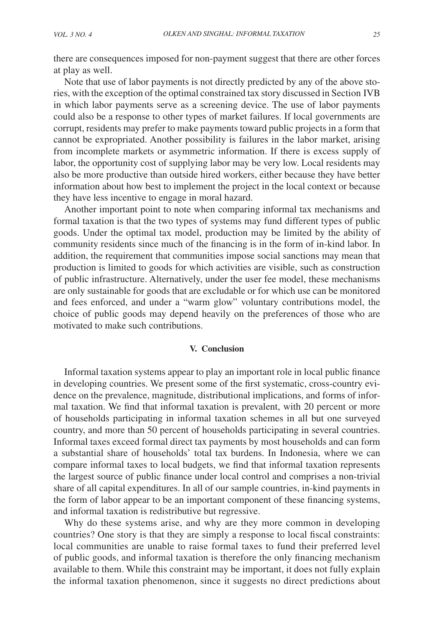<span id="page-24-0"></span>there are consequences imposed for non-payment suggest that there are other forces at play as well.

Note that use of labor payments is not directly predicted by any of the above stories, with the exception of the optimal constrained tax story discussed in Section IVB in which labor payments serve as a screening device. The use of labor payments could also be a response to other types of market failures. If local governments are corrupt, residents may prefer to make payments toward public projects in a form that cannot be expropriated. Another possibility is failures in the labor market, arising from incomplete markets or asymmetric information. If there is excess supply of labor, the opportunity cost of supplying labor may be very low. Local residents may also be more productive than outside hired workers, either because they have better information about how best to implement the project in the local context or because they have less incentive to engage in moral hazard.

Another important point to note when comparing informal tax mechanisms and formal taxation is that the two types of systems may fund different types of public goods. Under the optimal tax model, production may be limited by the ability of community residents since much of the financing is in the form of in-kind labor. In addition, the requirement that communities impose social sanctions may mean that production is limited to goods for which activities are visible, such as construction of public infrastructure. Alternatively, under the user fee model, these mechanisms are only sustainable for goods that are excludable or for which use can be monitored and fees enforced, and under a "warm glow" voluntary contributions model, the choice of public goods may depend heavily on the preferences of those who are motivated to make such contributions.

#### **V. Conclusion**

Informal taxation systems appear to play an important role in local public finance in developing countries. We present some of the first systematic, cross-country evidence on the prevalence, magnitude, distributional implications, and forms of informal taxation. We find that informal taxation is prevalent, with 20 percent or more of households participating in informal taxation schemes in all but one surveyed country, and more than 50 percent of households participating in several countries. Informal taxes exceed formal direct tax payments by most households and can form a substantial share of households' total tax burdens. In Indonesia, where we can compare informal taxes to local budgets, we find that informal taxation represents the largest source of public finance under local control and comprises a non-trivial share of all capital expenditures. In all of our sample countries, in-kind payments in the form of labor appear to be an important component of these financing systems, and informal taxation is redistributive but regressive.

Why do these systems arise, and why are they more common in developing countries? One story is that they are simply a response to local fiscal constraints: local communities are unable to raise formal taxes to fund their preferred level of public goods, and informal taxation is therefore the only financing mechanism available to them. While this constraint may be important, it does not fully explain the informal taxation phenomenon, since it suggests no direct predictions about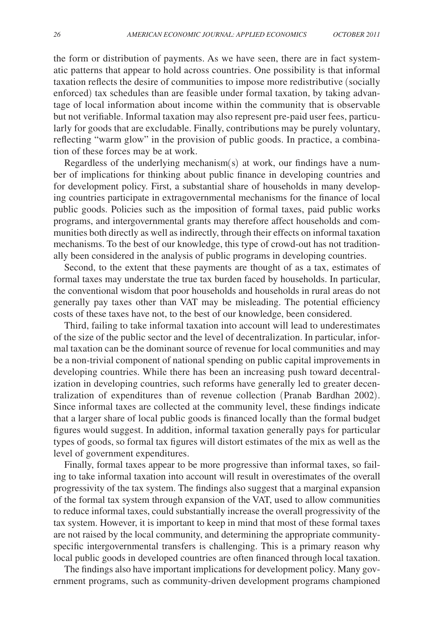the form or distribution of payments. As we have seen, there are in fact systematic patterns that appear to hold across countries. One possibility is that informal taxation reflects the desire of communities to impose more redistributive (socially enforced) tax schedules than are feasible under formal taxation, by taking advantage of local information about income within the community that is observable but not verifiable. Informal taxation may also represent pre-paid user fees, particularly for goods that are excludable. Finally, contributions may be purely voluntary, reflecting "warm glow" in the provision of public goods. In practice, a combination of these forces may be at work.

Regardless of the underlying mechanism(s) at work, our findings have a number of implications for thinking about public finance in developing countries and for development policy. First, a substantial share of households in many developing countries participate in extragovernmental mechanisms for the finance of local public goods. Policies such as the imposition of formal taxes, paid public works programs, and intergovernmental grants may therefore affect households and communities both directly as well as indirectly, through their effects on informal taxation mechanisms. To the best of our knowledge, this type of crowd-out has not traditionally been considered in the analysis of public programs in developing countries.

Second, to the extent that these payments are thought of as a tax, estimates of formal taxes may understate the true tax burden faced by households. In particular, the conventional wisdom that poor households and households in rural areas do not generally pay taxes other than VAT may be misleading. The potential efficiency costs of these taxes have not, to the best of our knowledge, been considered.

Third, failing to take informal taxation into account will lead to underestimates of the size of the public sector and the level of decentralization. In particular, informal taxation can be the dominant source of revenue for local communities and may be a non-trivial component of national spending on public capital improvements in developing countries. While there has been an increasing push toward decentralization in developing countries, such reforms have generally led to greater decentralization of expenditures than of revenue collection (Pranab Bardhan 2002). Since informal taxes are collected at the community level, these findings indicate that a larger share of local public goods is financed locally than the formal budget figures would suggest. In addition, informal taxation generally pays for particular types of goods, so formal tax figures will distort estimates of the mix as well as the level of government expenditures.

Finally, formal taxes appear to be more progressive than informal taxes, so failing to take informal taxation into account will result in overestimates of the overall progressivity of the tax system. The findings also suggest that a marginal expansion of the formal tax system through expansion of the VAT, used to allow communities to reduce informal taxes, could substantially increase the overall progressivity of the tax system. However, it is important to keep in mind that most of these formal taxes are not raised by the local community, and determining the appropriate communityspecific intergovernmental transfers is challenging. This is a primary reason why local public goods in developed countries are often financed through local taxation.

The findings also have important implications for development policy. Many government programs, such as community-driven development programs championed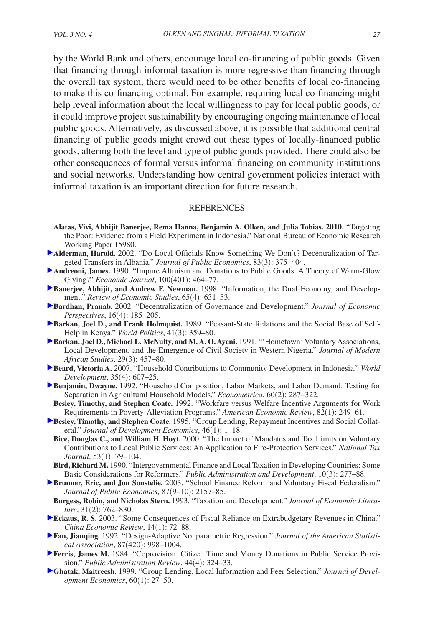<span id="page-26-0"></span>by the World Bank and others, encourage local co-financing of public goods. Given that financing through informal taxation is more regressive than financing through the overall tax system, there would need to be other benefits of local co-financing to make this co-financing optimal. For example, requiring local co-financing might help reveal information about the local willingness to pay for local public goods, or it could improve project sustainability by encouraging ongoing maintenance of local public goods. Alternatively, as discussed above, it is possible that additional central financing of public goods might crowd out these types of locally-financed public goods, altering both the level and type of public goods provided. There could also be other consequences of formal versus informal financing on community institutions and social networks. Understanding how central government policies interact with informal taxation is an important direction for future research.

#### **REFERENCES**

- **Alatas, Vivi, Abhijit Banerjee, Rema Hanna, Benjamin A. Olken, and Julia Tobias. 2010.** "Targeting the Poor: Evidence from a Field Experiment in Indonesia." National Bureau of Economic Research Working Paper 15980.
- **Alderman, Harold.** 2002. "Do Local Officials Know Something We Don't? Decentralization of Targeted Transfers in Albania." *Journal of Public Economics*, 83(3): 375–404.
- **Andreoni, James.** 1990. "Impure Altruism and Donations to Public Goods: A Theory of Warm-Glow Giving?" *Economic Journal*, 100(401): 464–77.
- **Banerjee, Abhijit, and Andrew F. Newman.** 1998. "Information, the Dual Economy, and Development." *Review of Economic Studies*, 65(4): 631–53.
- **Bardhan, Pranab.** 2002. "Decentralization of Governance and Development." *Journal of Economic Perspectives*, 16(4): 185–205.
- **Barkan, Joel D., and Frank Holmquist.** 1989. "Peasant-State Relations and the Social Base of Self-Help in Kenya." *World Politics*, 41(3): 359–80.
- **Barkan, Joel D., Michael L. McNulty, and M. A. O. Ayeni.** 1991. "'Hometown' Voluntary Associations, Local Development, and the Emergence of Civil Society in Western Nigeria." *Journal of Modern African Studies*, 29(3): 457–80.
- **Beard, Victoria A.** 2007. "Household Contributions to Community Development in Indonesia." *World Development*, 35(4): 607–25.
- **Benjamin, Dwayne.** 1992. "Household Composition, Labor Markets, and Labor Demand: Testing for Separation in Agricultural Household Models." *Econometrica*, 60(2): 287–322.
- **Besley, Timothy, and Stephen Coate.** 1992. "Workfare versus Welfare Incentive Arguments for Work Requirements in Poverty-Alleviation Programs." *American Economic Review*, 82(1): 249–61.
- **Besley, Timothy, and Stephen Coate.** 1995. "Group Lending, Repayment Incentives and Social Collateral." *Journal of Development Economics*, 46(1): 1–18.
	- **Bice, Douglas C., and William H. Hoyt.** 2000. "The Impact of Mandates and Tax Limits on Voluntary Contributions to Local Public Services: An Application to Fire-Protection Services." *National Tax Journal*, 53(1): 79–104.
- **Bird, Richard M.** 1990. "Intergovernmental Finance and Local Taxation in Developing Countries: Some Basic Considerations for Reformers." *Public Administration and Development*, 10(3): 277–88.
- **Brunner, Eric, and Jon Sonstelie.** 2003. "School Finance Reform and Voluntary Fiscal Federalism." *Journal of Public Economics*, 87(9–10): 2157–85.
- **Burgess, Robin, and Nicholas Stern.** 1993. "Taxation and Development." *Journal of Economic Literature*, 31(2): 762–830.
- **Eckaus, R. S.** 2003. "Some Consequences of Fiscal Reliance on Extrabudgetary Revenues in China." *China Economic Review*, 14(1): 72–88.
- **Fan, Jianqing.** 1992. "Design-Adaptive Nonparametric Regression." *Journal of the American Statistical Association*, 87(420): 998–1004.
- **Ferris, James M.** 1984. "Coprovision: Citizen Time and Money Donations in Public Service Provision." *Public Administration Review*, 44(4): 324–33.
- **Ghatak, Maitreesh.** 1999. "Group Lending, Local Information and Peer Selection." *Journal of Development Economics*, 60(1): 27–50.